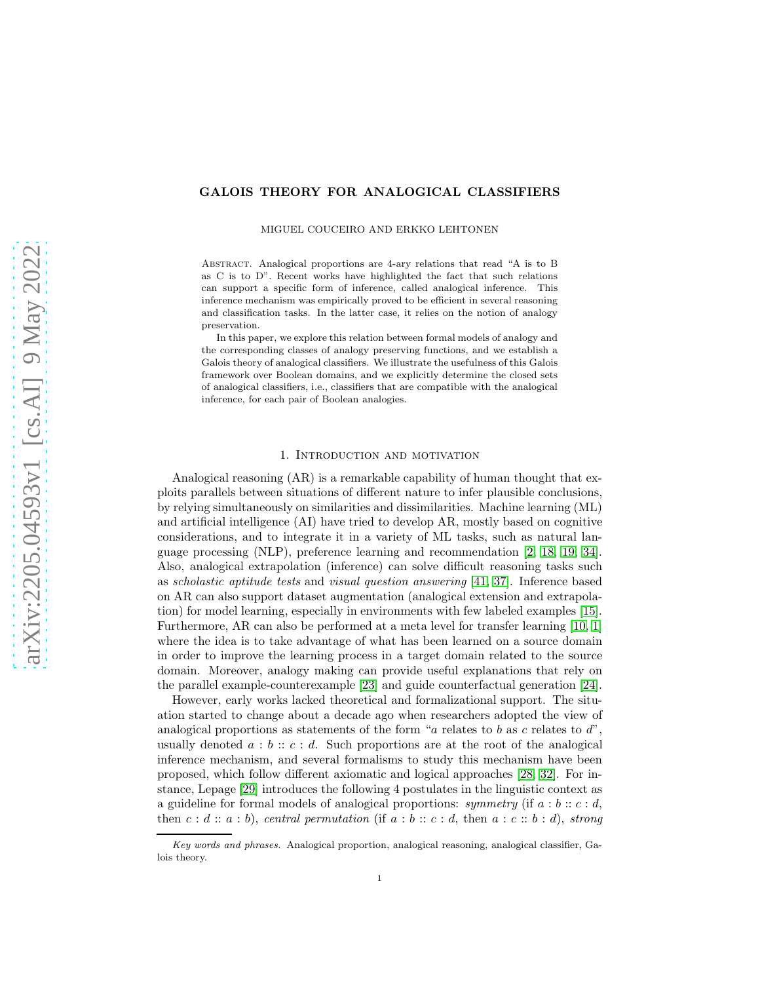## GALOIS THEORY FOR ANALOGICAL CLASSIFIERS

MIGUEL COUCEIRO AND ERKKO LEHTONEN

Abstract. Analogical proportions are 4-ary relations that read "A is to B as C is to D". Recent works have highlighted the fact that such relations can support a specific form of inference, called analogical inference. This inference mechanism was empirically proved to be efficient in several reasoning and classification tasks. In the latter case, it relies on the notion of analogy preservation.

In this paper, we explore this relation between formal models of analogy and the corresponding classes of analogy preserving functions, and we establish a Galois theory of analogical classifiers. We illustrate the usefulness of this Galois framework over Boolean domains, and we explicitly determine the closed sets of analogical classifiers, i.e., classifiers that are compatible with the analogical inference, for each pair of Boolean analogies.

#### 1. Introduction and motivation

Analogical reasoning (AR) is a remarkable capability of human thought that exploits parallels between situations of different nature to infer plausible conclusions, by relying simultaneously on similarities and dissimilarities. Machine learning (ML) and artificial intelligence (AI) have tried to develop AR, mostly based on cognitive considerations, and to integrate it in a variety of ML tasks, such as natural language processing (NLP), preference learning and recommendation [\[2,](#page-15-0) [18,](#page-15-1) [19,](#page-15-2) [34\]](#page-16-0). Also, analogical extrapolation (inference) can solve difficult reasoning tasks such as scholastic aptitude tests and visual question answering [\[41,](#page-16-1) [37\]](#page-16-2). Inference based on AR can also support dataset augmentation (analogical extension and extrapolation) for model learning, especially in environments with few labeled examples [\[15\]](#page-15-3). Furthermore, AR can also be performed at a meta level for transfer learning [\[10,](#page-15-4) [1\]](#page-15-5) where the idea is to take advantage of what has been learned on a source domain in order to improve the learning process in a target domain related to the source domain. Moreover, analogy making can provide useful explanations that rely on the parallel example-counterexample [\[23\]](#page-15-6) and guide counterfactual generation [\[24\]](#page-16-3).

However, early works lacked theoretical and formalizational support. The situation started to change about a decade ago when researchers adopted the view of analogical proportions as statements of the form "a relates to b as c relates to  $d$ ", usually denoted  $a : b :: c : d$ . Such proportions are at the root of the analogical inference mechanism, and several formalisms to study this mechanism have been proposed, which follow different axiomatic and logical approaches [\[28,](#page-16-4) [32\]](#page-16-5). For instance, Lepage [\[29\]](#page-16-6) introduces the following 4 postulates in the linguistic context as a guideline for formal models of analogical proportions: symmetry (if  $a : b :: c : d$ , then  $c : d :: a : b$ , central permutation (if  $a : b :: c : d$ , then  $a : c :: b : d$ ), strong

Key words and phrases. Analogical proportion, analogical reasoning, analogical classifier, Galois theory.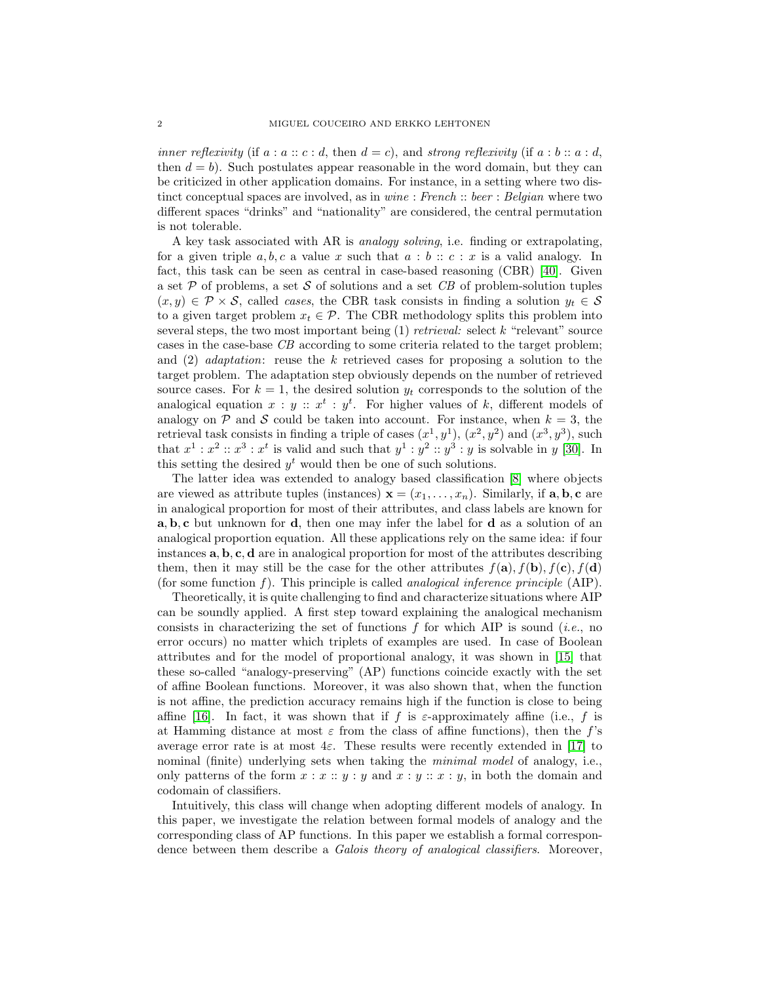inner reflexivity (if  $a : a : c : d$ , then  $d = c$ ), and strong reflexivity (if  $a : b : a : d$ , then  $d = b$ . Such postulates appear reasonable in the word domain, but they can be criticized in other application domains. For instance, in a setting where two distinct conceptual spaces are involved, as in *wine* : French :: beer : Belgian where two different spaces "drinks" and "nationality" are considered, the central permutation is not tolerable.

A key task associated with AR is analogy solving, i.e. finding or extrapolating, for a given triple  $a, b, c$  a value x such that  $a : b :: c : x$  is a valid analogy. In fact, this task can be seen as central in case-based reasoning (CBR) [\[40\]](#page-16-7). Given a set  $P$  of problems, a set  $S$  of solutions and a set  $CB$  of problem-solution tuples  $(x, y) \in \mathcal{P} \times \mathcal{S}$ , called *cases*, the CBR task consists in finding a solution  $y_t \in \mathcal{S}$ to a given target problem  $x_t \in \mathcal{P}$ . The CBR methodology splits this problem into several steps, the two most important being  $(1)$  *retrieval:* select k "relevant" source cases in the case-base CB according to some criteria related to the target problem; and (2) adaptation: reuse the k retrieved cases for proposing a solution to the target problem. The adaptation step obviously depends on the number of retrieved source cases. For  $k = 1$ , the desired solution  $y_t$  corresponds to the solution of the analogical equation  $x : y :: x^t : y^t$ . For higher values of k, different models of analogy on  $P$  and  $S$  could be taken into account. For instance, when  $k = 3$ , the retrieval task consists in finding a triple of cases  $(x^1, y^1)$ ,  $(x^2, y^2)$  and  $(x^3, y^3)$ , such that  $x^1 : x^2 :: x^3 : x^t$  is valid and such that  $y^1 : y^2 :: y^3 : y$  is solvable in y [\[30\]](#page-16-8). In this setting the desired  $y<sup>t</sup>$  would then be one of such solutions.

The latter idea was extended to analogy based classification [\[8\]](#page-15-7) where objects are viewed as attribute tuples (instances)  $\mathbf{x} = (x_1, \ldots, x_n)$ . Similarly, if **a**, **b**, **c** are in analogical proportion for most of their attributes, and class labels are known for a, b, c but unknown for d, then one may infer the label for d as a solution of an analogical proportion equation. All these applications rely on the same idea: if four instances  $\mathbf{a}, \mathbf{b}, \mathbf{c}, \mathbf{d}$  are in analogical proportion for most of the attributes describing them, then it may still be the case for the other attributes  $f(\mathbf{a}), f(\mathbf{b}), f(\mathbf{c}), f(\mathbf{d})$ (for some function f). This principle is called *analogical inference principle* (AIP).

Theoretically, it is quite challenging to find and characterize situations where AIP can be soundly applied. A first step toward explaining the analogical mechanism consists in characterizing the set of functions  $f$  for which AIP is sound (*i.e.*, no error occurs) no matter which triplets of examples are used. In case of Boolean attributes and for the model of proportional analogy, it was shown in [\[15\]](#page-15-3) that these so-called "analogy-preserving" (AP) functions coincide exactly with the set of affine Boolean functions. Moreover, it was also shown that, when the function is not affine, the prediction accuracy remains high if the function is close to being affine [\[16\]](#page-15-8). In fact, it was shown that if f is  $\varepsilon$ -approximately affine (i.e., f is at Hamming distance at most  $\varepsilon$  from the class of affine functions), then the f's average error rate is at most  $4\varepsilon$ . These results were recently extended in [\[17\]](#page-15-9) to nominal (finite) underlying sets when taking the *minimal model* of analogy, i.e., only patterns of the form  $x : x :: y : y$  and  $x : y :: x : y$ , in both the domain and codomain of classifiers.

Intuitively, this class will change when adopting different models of analogy. In this paper, we investigate the relation between formal models of analogy and the corresponding class of AP functions. In this paper we establish a formal correspondence between them describe a *Galois theory of analogical classifiers*. Moreover,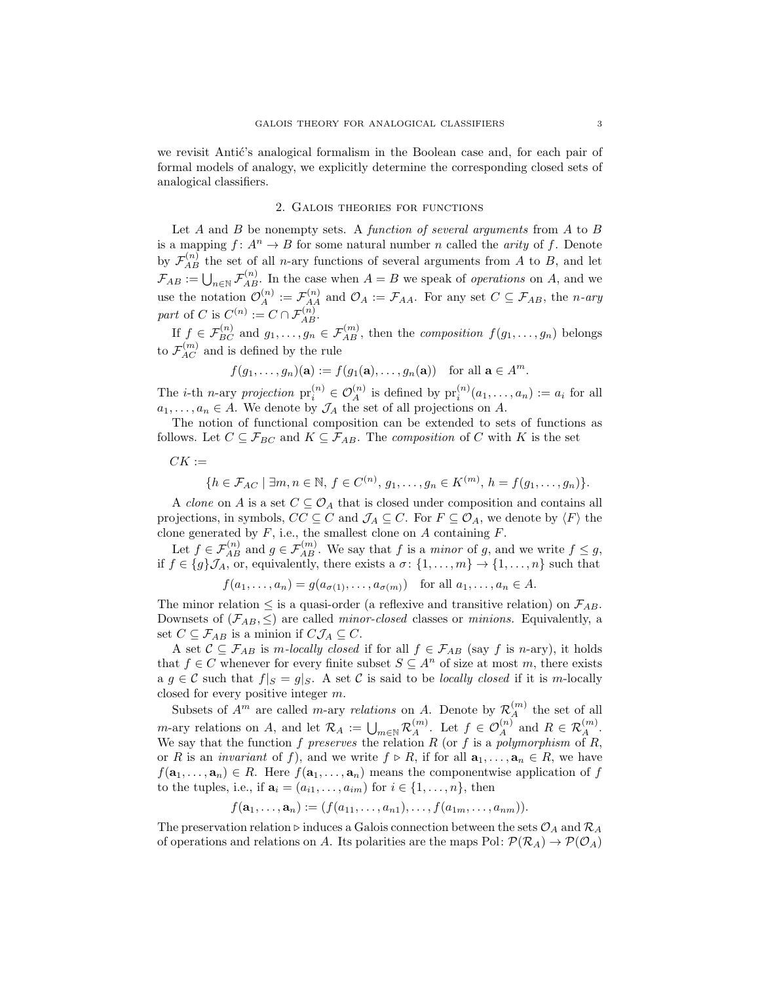we revisit Antić's analogical formalism in the Boolean case and, for each pair of formal models of analogy, we explicitly determine the corresponding closed sets of analogical classifiers.

### 2. Galois theories for functions

<span id="page-2-0"></span>Let  $A$  and  $B$  be nonempty sets. A *function of several arguments* from  $A$  to  $B$ is a mapping  $f: A^n \to B$  for some natural number n called the *arity* of f. Denote by  $\mathcal{F}_{AB}^{(n)}$  the set of all *n*-ary functions of several arguments from A to B, and let  $\mathcal{F}_{AB} := \bigcup_{n \in \mathbb{N}} \mathcal{F}_{AB}^{(n)}$ . In the case when  $A = B$  we speak of *operations* on A, and we use the notation  $\mathcal{O}_A^{(n)} := \mathcal{F}_{AA}^{(n)}$  and  $\mathcal{O}_A := \mathcal{F}_{AA}$ . For any set  $C \subseteq \mathcal{F}_{AB}$ , the *n*-ary part of C is  $C^{(n)} := C \cap \mathcal{F}_{AB}^{(n)}$ .

If  $f \in \mathcal{F}_{BC}^{(n)}$  and  $g_1, \ldots, g_n \in \mathcal{F}_{AB}^{(m)}$ , then the *composition*  $f(g_1, \ldots, g_n)$  belongs to  $\mathcal{F}_{AC}^{(m)}$  and is defined by the rule

$$
f(g_1,\ldots,g_n)(\mathbf{a}) := f(g_1(\mathbf{a}),\ldots,g_n(\mathbf{a}))
$$
 for all  $\mathbf{a} \in A^m$ .

The *i*-th *n*-ary projection  $pr_i^{(n)} \in \mathcal{O}_A^{(n)}$  is defined by  $pr_i^{(n)}(a_1,\ldots,a_n) := a_i$  for all  $a_1, \ldots, a_n \in A$ . We denote by  $\mathcal{J}_A$  the set of all projections on A.

The notion of functional composition can be extended to sets of functions as follows. Let  $C \subseteq \mathcal{F}_{BC}$  and  $K \subseteq \mathcal{F}_{AB}$ . The *composition* of C with K is the set

 $CK :=$ 

$$
\{h \in \mathcal{F}_{AC} \mid \exists m, n \in \mathbb{N}, f \in C^{(n)}, g_1, \dots, g_n \in K^{(m)}, h = f(g_1, \dots, g_n)\}.
$$

A *clone* on A is a set  $C \subseteq \mathcal{O}_A$  that is closed under composition and contains all projections, in symbols,  $CC \subseteq C$  and  $\mathcal{J}_A \subseteq C$ . For  $F \subseteq \mathcal{O}_A$ , we denote by  $\langle F \rangle$  the clone generated by  $F$ , i.e., the smallest clone on  $A$  containing  $F$ .

Let  $f \in \mathcal{F}_{AB}^{(n)}$  and  $g \in \mathcal{F}_{AB}^{(m)}$ . We say that f is a minor of g, and we write  $f \leq g$ , if  $f \in \{g\}\mathcal{J}_A$ , or, equivalently, there exists a  $\sigma \colon \{1, \ldots, m\} \to \{1, \ldots, n\}$  such that

$$
f(a_1,\ldots,a_n) = g(a_{\sigma(1)},\ldots,a_{\sigma(m)})
$$
 for all  $a_1,\ldots,a_n \in A$ .

The minor relation  $\leq$  is a quasi-order (a reflexive and transitive relation) on  $\mathcal{F}_{AB}$ . Downsets of  $(\mathcal{F}_{AB}, \leq)$  are called *minor-closed* classes or *minions*. Equivalently, a set  $C \subseteq \mathcal{F}_{AB}$  is a minion if  $C\mathcal{J}_A \subseteq C$ .

A set  $\mathcal{C} \subseteq \mathcal{F}_{AB}$  is m-locally closed if for all  $f \in \mathcal{F}_{AB}$  (say f is n-ary), it holds that  $f \in C$  whenever for every finite subset  $S \subseteq A^n$  of size at most m, there exists a  $g \in \mathcal{C}$  such that  $f|_{S} = g|_{S}$ . A set  $\mathcal{C}$  is said to be *locally closed* if it is m-locally closed for every positive integer m.

Subsets of  $A^m$  are called *m*-ary *relations* on A. Denote by  $\mathcal{R}_A^{(m)}$  the set of all m-ary relations on A, and let  $\mathcal{R}_A := \bigcup_{m \in \mathbb{N}} \mathcal{R}_A^{(m)}$ . Let  $f \in \mathcal{O}_A^{(n)}$  and  $R \in \mathcal{R}_A^{(m)}$ . We say that the function f preserves the relation R (or f is a polymorphism of R, or R is an *invariant* of f), and we write  $f \triangleright R$ , if for all  $\mathbf{a}_1, \ldots, \mathbf{a}_n \in R$ , we have  $f(\mathbf{a}_1,\ldots,\mathbf{a}_n)\in R$ . Here  $f(\mathbf{a}_1,\ldots,\mathbf{a}_n)$  means the componentwise application of f to the tuples, i.e., if  $\mathbf{a}_i = (a_{i1}, \ldots, a_{im})$  for  $i \in \{1, \ldots, n\}$ , then

$$
f(\mathbf{a}_1,\ldots,\mathbf{a}_n):=(f(a_{11},\ldots,a_{n1}),\ldots,f(a_{1m},\ldots,a_{nm})).
$$

The preservation relation ⊳ induces a Galois connection between the sets  $\mathcal{O}_A$  and  $\mathcal{R}_A$ of operations and relations on A. Its polarities are the maps Pol:  $\mathcal{P}(\mathcal{R}_A) \to \mathcal{P}(\mathcal{O}_A)$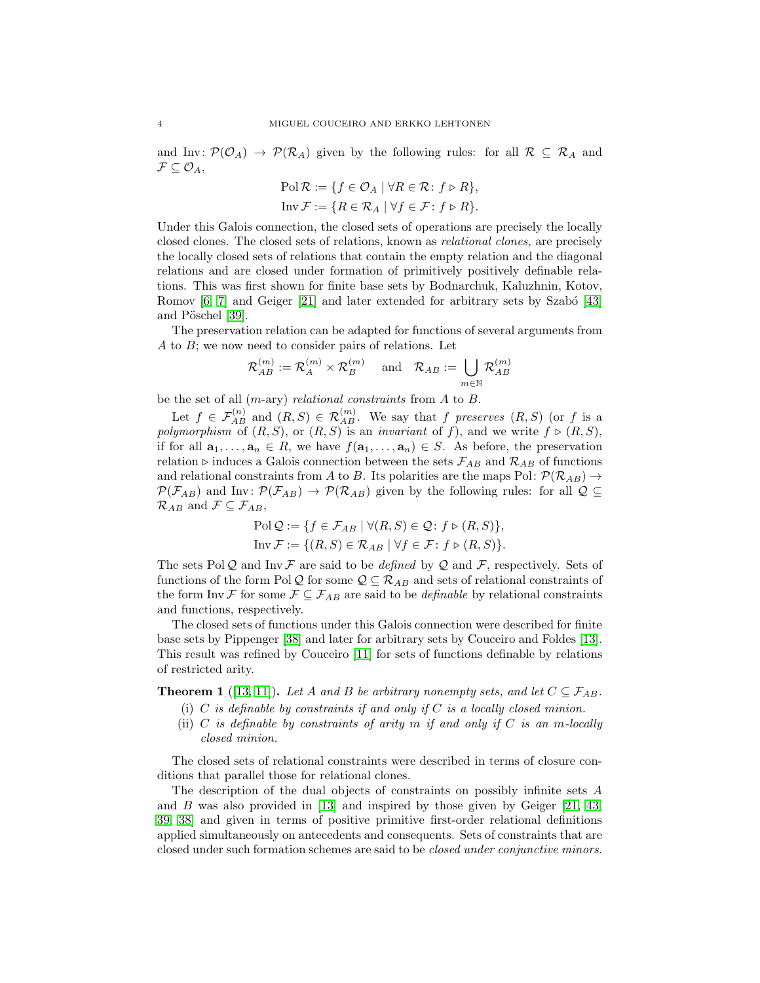and Inv:  $\mathcal{P}(\mathcal{O}_A) \to \mathcal{P}(\mathcal{R}_A)$  given by the following rules: for all  $\mathcal{R} \subseteq \mathcal{R}_A$  and  $\mathcal{F} \subseteq \mathcal{O}_A$ ,

$$
\text{Pol } \mathcal{R} := \{ f \in \mathcal{O}_A \mid \forall R \in \mathcal{R} \colon f \triangleright R \},
$$
  
\n
$$
\text{Inv } \mathcal{F} := \{ R \in \mathcal{R}_A \mid \forall f \in \mathcal{F} \colon f \triangleright R \}.
$$

Under this Galois connection, the closed sets of operations are precisely the locally closed clones. The closed sets of relations, known as relational clones, are precisely the locally closed sets of relations that contain the empty relation and the diagonal relations and are closed under formation of primitively positively definable relations. This was first shown for finite base sets by Bodnarchuk, Kaluzhnin, Kotov, Romov  $[6, 7]$  $[6, 7]$  and Geiger  $[21]$  and later extended for arbitrary sets by Szabó  $[43]$ and Pöschel [\[39\]](#page-16-10).

The preservation relation can be adapted for functions of several arguments from A to B; we now need to consider pairs of relations. Let

$$
\mathcal{R}_{AB}^{(m)}:=\mathcal{R}_A^{(m)}\times \mathcal{R}_B^{(m)}\quad \text{ and}\quad \mathcal{R}_{AB}:=\bigcup_{m\in \mathbb{N}}\mathcal{R}_{AB}^{(m)}
$$

be the set of all  $(m\text{-ary})$  relational constraints from A to B.

Let  $f \in \mathcal{F}_{AB}^{(n)}$  and  $(R, S) \in \mathcal{R}_{AB}^{(m)}$ . We say that f preserves  $(R, S)$  (or f is a polymorphism of  $(R, S)$ , or  $(R, S)$  is an invariant of f), and we write  $f \triangleright (R, S)$ , if for all  $\mathbf{a}_1, \ldots, \mathbf{a}_n \in R$ , we have  $f(\mathbf{a}_1, \ldots, \mathbf{a}_n) \in S$ . As before, the preservation relation ⊳ induces a Galois connection between the sets  $\mathcal{F}_{AB}$  and  $\mathcal{R}_{AB}$  of functions and relational constraints from A to B. Its polarities are the maps Pol:  $\mathcal{P}(\mathcal{R}_{AB}) \rightarrow$  $\mathcal{P}(\mathcal{F}_{AB})$  and Inv:  $\mathcal{P}(\mathcal{F}_{AB}) \to \mathcal{P}(\mathcal{R}_{AB})$  given by the following rules: for all  $\mathcal{Q} \subseteq$  $\mathcal{R}_{AB}$  and  $\mathcal{F} \subseteq \mathcal{F}_{AB}$ ,

$$
\text{Pol}\,\mathcal{Q} := \{ f \in \mathcal{F}_{AB} \mid \forall (R, S) \in \mathcal{Q} \colon f \triangleright (R, S) \},
$$

$$
\text{Inv}\,\mathcal{F} := \{ (R, S) \in \mathcal{R}_{AB} \mid \forall f \in \mathcal{F} \colon f \triangleright (R, S) \}.
$$

The sets Pol Q and Inv F are said to be *defined* by Q and F, respectively. Sets of functions of the form Pol Q for some  $Q \subseteq \mathcal{R}_{AB}$  and sets of relational constraints of the form Inv F for some  $\mathcal{F} \subseteq \mathcal{F}_{AB}$  are said to be *definable* by relational constraints and functions, respectively.

The closed sets of functions under this Galois connection were described for finite base sets by Pippenger [\[38\]](#page-16-11) and later for arbitrary sets by Couceiro and Foldes [\[13\]](#page-15-13). This result was refined by Couceiro [\[11\]](#page-15-14) for sets of functions definable by relations of restricted arity.

**Theorem 1** ([\[13,](#page-15-13) [11\]](#page-15-14)). Let A and B be arbitrary nonempty sets, and let  $C \subseteq \mathcal{F}_{AB}$ .

- (i)  $C$  is definable by constraints if and only if  $C$  is a locally closed minion.
- (ii)  $C$  is definable by constraints of arity  $m$  if and only if  $C$  is an m-locally closed minion.

The closed sets of relational constraints were described in terms of closure conditions that parallel those for relational clones.

The description of the dual objects of constraints on possibly infinite sets A and  $B$  was also provided in [\[13\]](#page-15-13) and inspired by those given by Geiger [\[21,](#page-15-12) [43,](#page-16-9) [39,](#page-16-10) [38\]](#page-16-11) and given in terms of positive primitive first-order relational definitions applied simultaneously on antecedents and consequents. Sets of constraints that are closed under such formation schemes are said to be closed under conjunctive minors.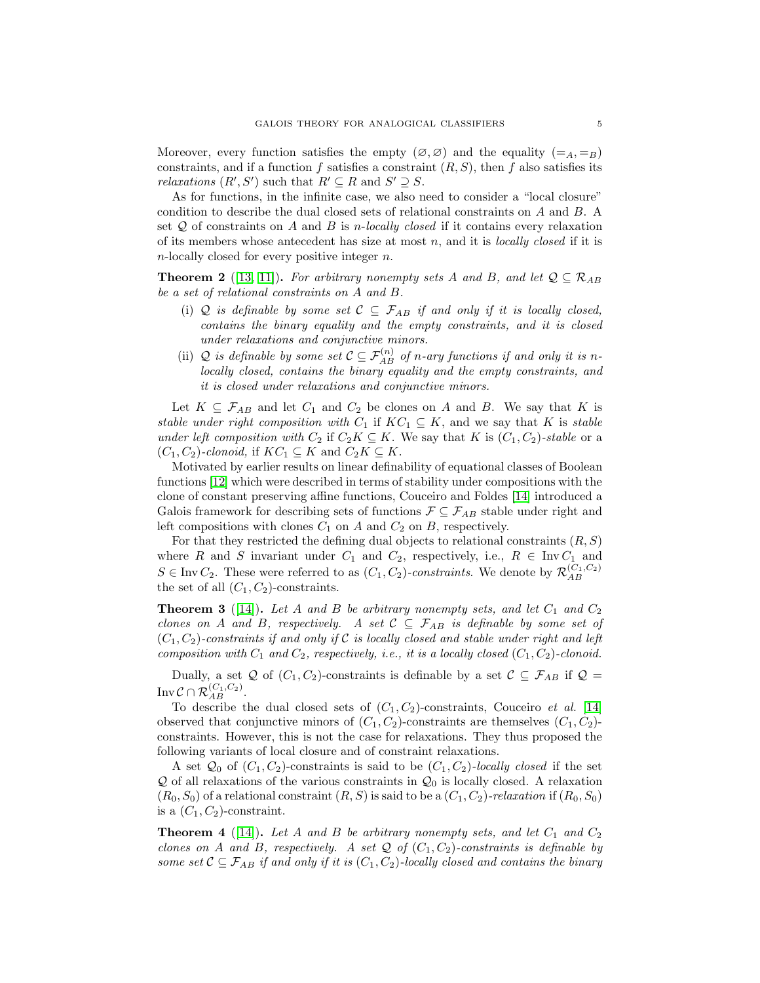Moreover, every function satisfies the empty  $(\emptyset, \emptyset)$  and the equality  $(=_A, =_B)$ constraints, and if a function f satisfies a constraint  $(R, S)$ , then f also satisfies its *relaxations*  $(R', S')$  such that  $R' \subseteq R$  and  $S' \supseteq S$ .

As for functions, in the infinite case, we also need to consider a "local closure" condition to describe the dual closed sets of relational constraints on A and B. A set  $Q$  of constraints on A and B is *n*-locally closed if it contains every relaxation of its members whose antecedent has size at most  $n$ , and it is *locally closed* if it is n-locally closed for every positive integer n.

**Theorem 2** ([\[13,](#page-15-13) [11\]](#page-15-14)). For arbitrary nonempty sets A and B, and let  $Q \subseteq \mathcal{R}_{AB}$ be a set of relational constraints on A and B.

- (i) Q is definable by some set  $C \subseteq \mathcal{F}_{AB}$  if and only if it is locally closed, contains the binary equality and the empty constraints, and it is closed under relaxations and conjunctive minors.
- (ii) Q is definable by some set  $\mathcal{C} \subseteq \mathcal{F}_{AB}^{(n)}$  of n-ary functions if and only it is nlocally closed, contains the binary equality and the empty constraints, and it is closed under relaxations and conjunctive minors.

Let  $K \subseteq \mathcal{F}_{AB}$  and let  $C_1$  and  $C_2$  be clones on A and B. We say that K is stable under right composition with  $C_1$  if  $KC_1 \subseteq K$ , and we say that K is stable under left composition with  $C_2$  if  $C_2K \subseteq K$ . We say that K is  $(C_1, C_2)$ -stable or a  $(C_1, C_2)$ -clonoid, if  $KC_1 \subseteq K$  and  $C_2K \subseteq K$ .

Motivated by earlier results on linear definability of equational classes of Boolean functions [\[12\]](#page-15-15) which were described in terms of stability under compositions with the clone of constant preserving affine functions, Couceiro and Foldes [\[14\]](#page-15-16) introduced a Galois framework for describing sets of functions  $\mathcal{F} \subseteq \mathcal{F}_{AB}$  stable under right and left compositions with clones  $C_1$  on A and  $C_2$  on B, respectively.

For that they restricted the defining dual objects to relational constraints  $(R, S)$ where R and S invariant under  $C_1$  and  $C_2$ , respectively, i.e.,  $R \in \text{Inv } C_1$  and  $S \in \text{Inv } C_2$ . These were referred to as  $(C_1, C_2)$ -constraints. We denote by  $\mathcal{R}_{AB}^{(C_1, C_2)}$ the set of all  $(C_1, C_2)$ -constraints.

<span id="page-4-0"></span>**Theorem 3** ([\[14\]](#page-15-16)). Let A and B be arbitrary nonempty sets, and let  $C_1$  and  $C_2$ clones on A and B, respectively. A set  $C \subseteq \mathcal{F}_{AB}$  is definable by some set of  $(C_1, C_2)$ -constraints if and only if C is locally closed and stable under right and left composition with  $C_1$  and  $C_2$ , respectively, i.e., it is a locally closed  $(C_1, C_2)$ -clonoid.

Dually, a set Q of  $(C_1, C_2)$ -constraints is definable by a set  $\mathcal{C} \subseteq \mathcal{F}_{AB}$  if  $\mathcal{Q} =$ Inv  $\mathcal{C}\cap \mathcal{R}_{AB}^{(C_1,C_2)}.$ 

To describe the dual closed sets of  $(C_1, C_2)$ -constraints, Couceiro et al. [\[14\]](#page-15-16) observed that conjunctive minors of  $(C_1, C_2)$ -constraints are themselves  $(C_1, C_2)$ constraints. However, this is not the case for relaxations. They thus proposed the following variants of local closure and of constraint relaxations.

A set  $\mathcal{Q}_0$  of  $(C_1, C_2)$ -constraints is said to be  $(C_1, C_2)$ -locally closed if the set  $\mathcal Q$  of all relaxations of the various constraints in  $\mathcal Q_0$  is locally closed. A relaxation  $(R_0, S_0)$  of a relational constraint  $(R, S)$  is said to be a  $(C_1, C_2)$ -relaxation if  $(R_0, S_0)$ is a  $(C_1, C_2)$ -constraint.

<span id="page-4-1"></span>**Theorem 4** ([\[14\]](#page-15-16)). Let A and B be arbitrary nonempty sets, and let  $C_1$  and  $C_2$ clones on A and B, respectively. A set Q of  $(C_1, C_2)$ -constraints is definable by some set  $\mathcal{C} \subseteq \mathcal{F}_{AB}$  if and only if it is  $(C_1, C_2)$ -locally closed and contains the binary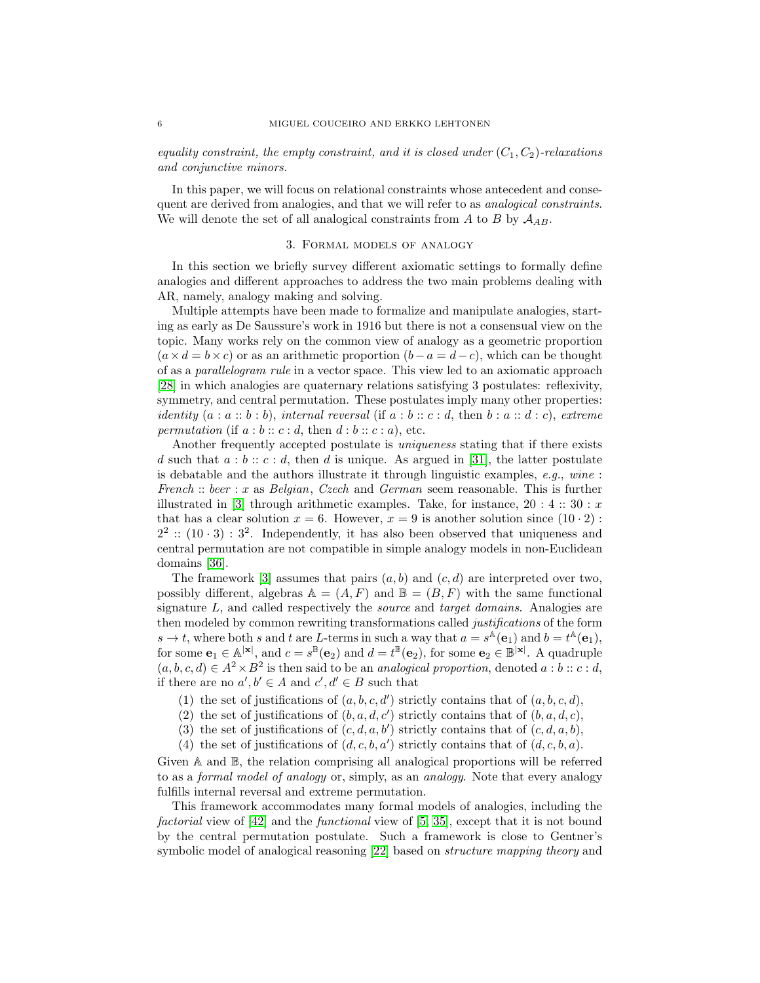equality constraint, the empty constraint, and it is closed under  $(C_1, C_2)$ -relaxations and conjunctive minors.

In this paper, we will focus on relational constraints whose antecedent and consequent are derived from analogies, and that we will refer to as *analogical constraints*. We will denote the set of all analogical constraints from A to B by  $A_{AB}$ .

#### 3. Formal models of analogy

In this section we briefly survey different axiomatic settings to formally define analogies and different approaches to address the two main problems dealing with AR, namely, analogy making and solving.

Multiple attempts have been made to formalize and manipulate analogies, starting as early as De Saussure's work in 1916 but there is not a consensual view on the topic. Many works rely on the common view of analogy as a geometric proportion  $(a \times d = b \times c)$  or as an arithmetic proportion  $(b-a = d-c)$ , which can be thought of as a parallelogram rule in a vector space. This view led to an axiomatic approach [\[28\]](#page-16-4) in which analogies are quaternary relations satisfying 3 postulates: reflexivity, symmetry, and central permutation. These postulates imply many other properties: identity  $(a : a :: b : b)$ , internal reversal (if  $a : b :: c : d$ , then  $b : a :: d : c$ ), extreme permutation (if  $a:b::c:d$ , then  $d:b::c:a$ ), etc.

Another frequently accepted postulate is uniqueness stating that if there exists d such that  $a:b:: c:d$ , then d is unique. As argued in [\[31\]](#page-16-12), the latter postulate is debatable and the authors illustrate it through linguistic examples,  $e.g.,$  wine: French :: beer : x as Belgian, Czech and German seem reasonable. This is further illustrated in [\[3\]](#page-15-17) through arithmetic examples. Take, for instance,  $20:4::30::x$ that has a clear solution  $x = 6$ . However,  $x = 9$  is another solution since  $(10 \cdot 2)$ :  $2^2$ :  $(10 \cdot 3)$ :  $3^2$ . Independently, it has also been observed that uniqueness and central permutation are not compatible in simple analogy models in non-Euclidean domains [\[36\]](#page-16-13).

The framework [\[3\]](#page-15-17) assumes that pairs  $(a, b)$  and  $(c, d)$  are interpreted over two, possibly different, algebras  $\mathbb{A} = (A, F)$  and  $\mathbb{B} = (B, F)$  with the same functional signature L, and called respectively the *source* and *target domains*. Analogies are then modeled by common rewriting transformations called justifications of the form  $s \to t$ , where both s and t are L-terms in such a way that  $a = s^{\mathbb{A}}(e_1)$  and  $b = t^{\mathbb{A}}(e_1)$ , for some  $\mathbf{e}_1 \in \mathbb{A}^{|\mathbf{x}|}$ , and  $c = s^{\mathbb{B}}(\mathbf{e}_2)$  and  $d = t^{\mathbb{B}}(\mathbf{e}_2)$ , for some  $\mathbf{e}_2 \in \mathbb{B}^{|\mathbf{x}|}$ . A quadruple  $(a, b, c, d) \in A^2 \times B^2$  is then said to be an *analogical proportion*, denoted  $a : b :: c : d$ , if there are no  $a', b' \in A$  and  $c', d' \in B$  such that

- (1) the set of justifications of  $(a, b, c, d')$  strictly contains that of  $(a, b, c, d)$ ,
- (2) the set of justifications of  $(b, a, d, c')$  strictly contains that of  $(b, a, d, c)$ ,
- (3) the set of justifications of  $(c, d, a, b')$  strictly contains that of  $(c, d, a, b)$ ,
- (4) the set of justifications of  $(d, c, b, a')$  strictly contains that of  $(d, c, b, a)$ .

Given A and B, the relation comprising all analogical proportions will be referred to as a formal model of analogy or, simply, as an analogy. Note that every analogy fulfills internal reversal and extreme permutation.

This framework accommodates many formal models of analogies, including the *factorial* view of  $|42|$  and the *functional* view of  $|5, 35|$ , except that it is not bound by the central permutation postulate. Such a framework is close to Gentner's symbolic model of analogical reasoning [\[22\]](#page-15-19) based on structure mapping theory and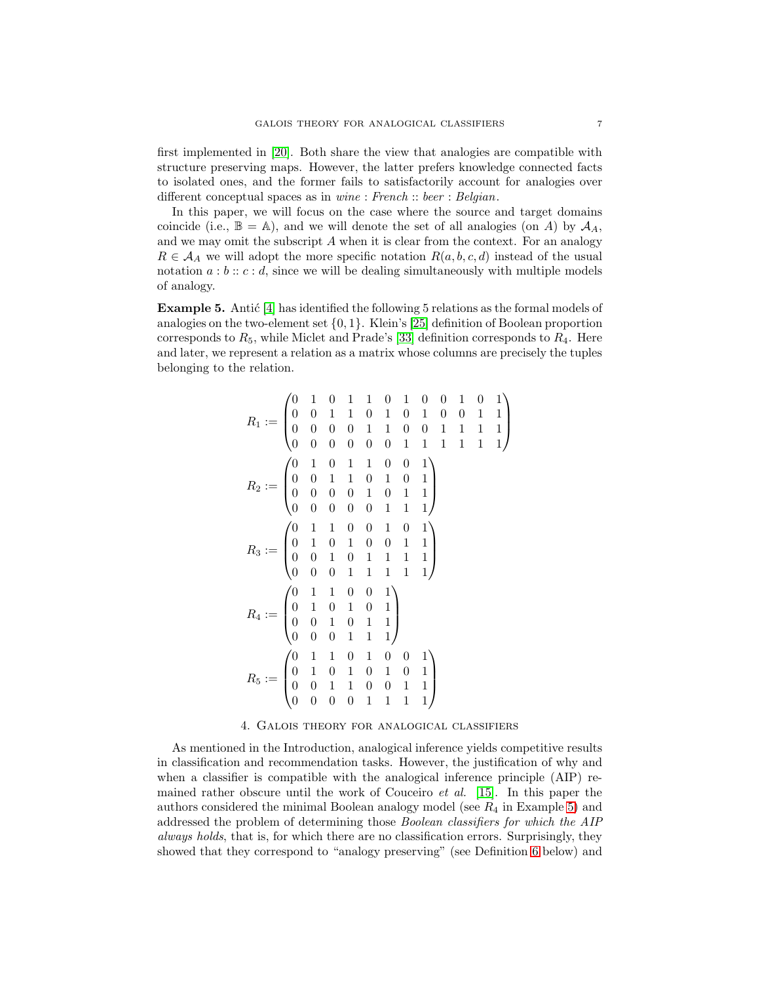first implemented in [\[20\]](#page-15-20). Both share the view that analogies are compatible with structure preserving maps. However, the latter prefers knowledge connected facts to isolated ones, and the former fails to satisfactorily account for analogies over different conceptual spaces as in wine : French :: beer : Belgian.

In this paper, we will focus on the case where the source and target domains coincide (i.e.,  $\mathbb{B} = \mathbb{A}$ ), and we will denote the set of all analogies (on A) by  $\mathcal{A}_A$ , and we may omit the subscript  $A$  when it is clear from the context. For an analogy  $R \in \mathcal{A}_A$  we will adopt the more specific notation  $R(a, b, c, d)$  instead of the usual notation  $a:b::c:d$ , since we will be dealing simultaneously with multiple models of analogy.

<span id="page-6-0"></span>**Example 5.** Antic  $[4]$  has identified the following 5 relations as the formal models of analogies on the two-element set  $\{0, 1\}$ . Klein's [\[25\]](#page-16-16) definition of Boolean proportion corresponds to  $R_5$ , while Miclet and Prade's [\[33\]](#page-16-17) definition corresponds to  $R_4$ . Here and later, we represent a relation as a matrix whose columns are precisely the tuples belonging to the relation.

$$
R_1 := \begin{pmatrix} 0 & 1 & 0 & 1 & 1 & 0 & 1 & 0 & 0 & 1 & 0 & 1 \\ 0 & 0 & 1 & 1 & 0 & 1 & 0 & 1 & 0 & 0 & 0 & 1 & 1 \\ 0 & 0 & 0 & 0 & 1 & 1 & 0 & 0 & 1 & 1 & 1 & 1 \\ 0 & 0 & 0 & 0 & 0 & 0 & 1 & 1 & 1 & 1 & 1 & 1 \end{pmatrix}
$$
  
\n
$$
R_2 := \begin{pmatrix} 0 & 1 & 0 & 1 & 1 & 0 & 0 & 1 \\ 0 & 0 & 1 & 1 & 0 & 1 & 0 & 1 \\ 0 & 0 & 0 & 0 & 1 & 0 & 1 & 1 \\ 0 & 0 & 0 & 0 & 0 & 1 & 1 & 1 \end{pmatrix}
$$
  
\n
$$
R_3 := \begin{pmatrix} 0 & 1 & 1 & 0 & 0 & 1 & 0 & 1 \\ 0 & 1 & 0 & 1 & 0 & 0 & 1 & 1 \\ 0 & 0 & 1 & 0 & 1 & 1 & 1 & 1 \\ 0 & 0 & 0 & 1 & 1 & 1 & 1 & 1 \end{pmatrix}
$$
  
\n
$$
R_4 := \begin{pmatrix} 0 & 1 & 1 & 0 & 0 & 1 \\ 0 & 1 & 0 & 1 & 0 & 1 \\ 0 & 0 & 1 & 0 & 1 & 1 \\ 0 & 0 & 0 & 1 & 1 & 1 \end{pmatrix}
$$
  
\n
$$
R_5 := \begin{pmatrix} 0 & 1 & 1 & 0 & 1 & 0 & 0 & 1 \\ 0 & 1 & 0 & 1 & 0 & 1 & 0 & 1 \\ 0 & 0 & 1 & 1 & 0 & 0 & 1 & 1 \\ 0 & 0 & 0 & 0 & 1 & 1 & 1 & 1 \end{pmatrix}
$$

#### 4. Galois theory for analogical classifiers

<span id="page-6-1"></span>As mentioned in the Introduction, analogical inference yields competitive results in classification and recommendation tasks. However, the justification of why and when a classifier is compatible with the analogical inference principle (AIP) remained rather obscure until the work of Couceiro *et al.* [\[15\]](#page-15-3). In this paper the authors considered the minimal Boolean analogy model (see  $R_4$  in Example [5\)](#page-6-0) and addressed the problem of determining those Boolean classifiers for which the AIP always holds, that is, for which there are no classification errors. Surprisingly, they showed that they correspond to "analogy preserving" (see Definition [6](#page-7-0) below) and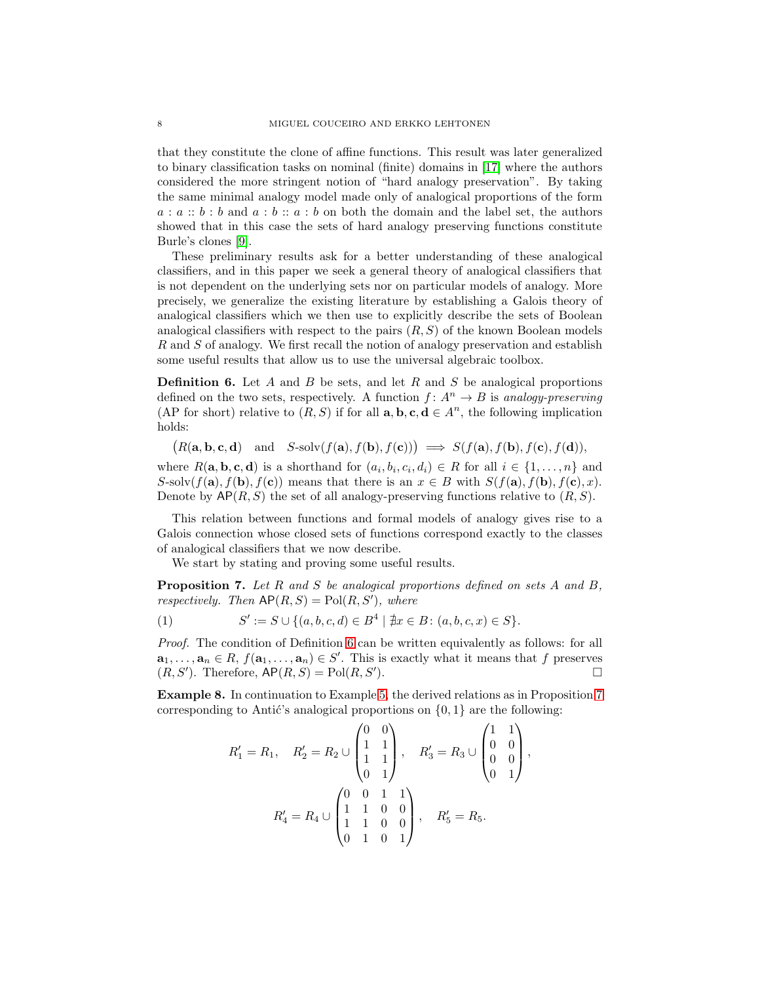that they constitute the clone of affine functions. This result was later generalized to binary classification tasks on nominal (finite) domains in [\[17\]](#page-15-9) where the authors considered the more stringent notion of "hard analogy preservation". By taking the same minimal analogy model made only of analogical proportions of the form  $a : a :: b : b$  and  $a : b :: a : b$  on both the domain and the label set, the authors showed that in this case the sets of hard analogy preserving functions constitute Burle's clones [\[9\]](#page-15-22).

These preliminary results ask for a better understanding of these analogical classifiers, and in this paper we seek a general theory of analogical classifiers that is not dependent on the underlying sets nor on particular models of analogy. More precisely, we generalize the existing literature by establishing a Galois theory of analogical classifiers which we then use to explicitly describe the sets of Boolean analogical classifiers with respect to the pairs  $(R, S)$  of the known Boolean models R and S of analogy. We first recall the notion of analogy preservation and establish some useful results that allow us to use the universal algebraic toolbox.

<span id="page-7-0"></span>**Definition 6.** Let A and B be sets, and let R and S be analogical proportions defined on the two sets, respectively. A function  $f: A^n \to B$  is analogy-preserving (AP for short) relative to  $(R, S)$  if for all  $\mathbf{a}, \mathbf{b}, \mathbf{c}, \mathbf{d} \in A^n$ , the following implication holds:

 $(R(\mathbf{a}, \mathbf{b}, \mathbf{c}, \mathbf{d})$  and  $S\text{-solv}(f(\mathbf{a}), f(\mathbf{b}), f(\mathbf{c})) \implies S(f(\mathbf{a}), f(\mathbf{b}), f(\mathbf{c}), f(\mathbf{d})),$ 

where  $R(\mathbf{a}, \mathbf{b}, \mathbf{c}, \mathbf{d})$  is a shorthand for  $(a_i, b_i, c_i, d_i) \in R$  for all  $i \in \{1, ..., n\}$  and S-solv $(f(\mathbf{a}), f(\mathbf{b}), f(\mathbf{c}))$  means that there is an  $x \in B$  with  $S(f(\mathbf{a}), f(\mathbf{b}), f(\mathbf{c}), x)$ . Denote by  $\mathsf{AP}(R,S)$  the set of all analogy-preserving functions relative to  $(R, S)$ .

This relation between functions and formal models of analogy gives rise to a Galois connection whose closed sets of functions correspond exactly to the classes of analogical classifiers that we now describe.

We start by stating and proving some useful results.

<span id="page-7-1"></span>**Proposition 7.** Let R and S be analogical proportions defined on sets A and B, respectively. Then  $AP(R, S) = Pol(R, S')$ , where

<span id="page-7-3"></span>(1) 
$$
S' := S \cup \{ (a, b, c, d) \in B^4 \mid \nexists x \in B : (a, b, c, x) \in S \}.
$$

Proof. The condition of Definition [6](#page-7-0) can be written equivalently as follows: for all  $a_1, \ldots, a_n \in R$ ,  $f(a_1, \ldots, a_n) \in S'$ . This is exactly what it means that f preserves  $(R, S')$ . Therefore,  $AP(R, S) = Pol(R, S')$ ).  $\qquad \qquad \Box$ 

<span id="page-7-2"></span>Example 8. In continuation to Example [5,](#page-6-0) the derived relations as in Proposition [7](#page-7-1) corresponding to Antić's analogical proportions on  $\{0, 1\}$  are the following:

$$
R'_1 = R_1, \quad R'_2 = R_2 \cup \begin{pmatrix} 0 & 0 \\ 1 & 1 \\ 1 & 1 \\ 0 & 1 \end{pmatrix}, \quad R'_3 = R_3 \cup \begin{pmatrix} 1 & 1 \\ 0 & 0 \\ 0 & 0 \\ 0 & 1 \end{pmatrix},
$$

$$
R'_4 = R_4 \cup \begin{pmatrix} 0 & 0 & 1 & 1 \\ 1 & 1 & 0 & 0 \\ 1 & 1 & 0 & 0 \\ 0 & 1 & 0 & 1 \end{pmatrix}, \quad R'_5 = R_5.
$$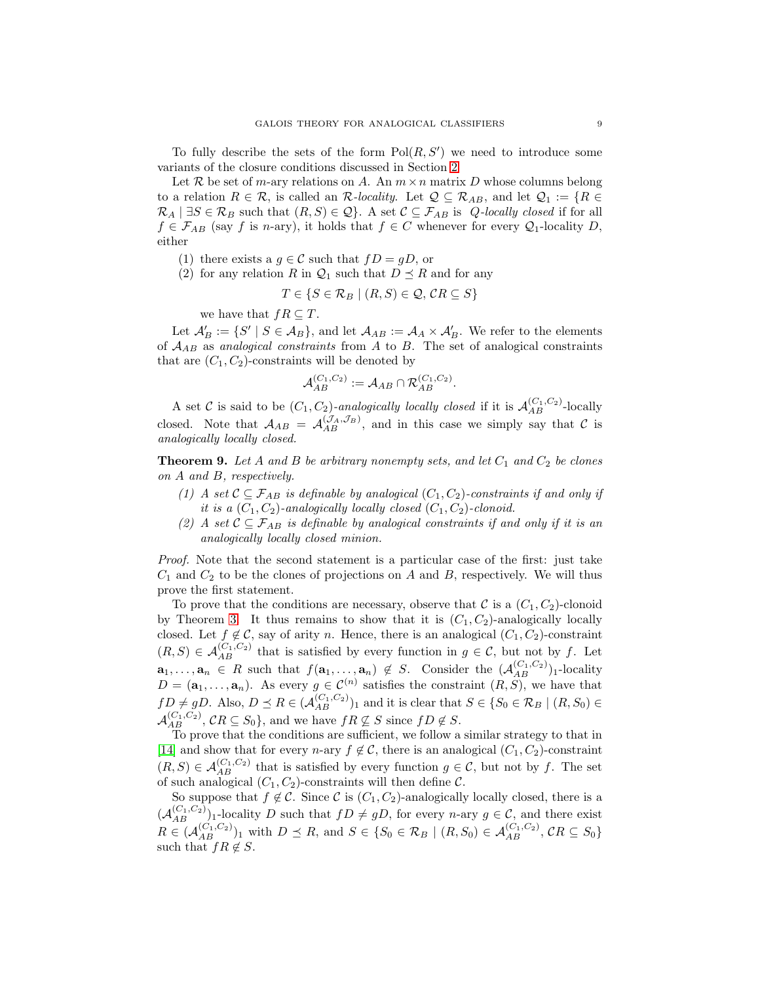To fully describe the sets of the form  $Pol(R, S')$  we need to introduce some variants of the closure conditions discussed in Section [2](#page-2-0)

Let R be set of m-ary relations on A. An  $m \times n$  matrix D whose columns belong to a relation  $R \in \mathcal{R}$ , is called an  $\mathcal{R}\text{-}locality$ . Let  $\mathcal{Q} \subseteq \mathcal{R}_{AB}$ , and let  $\mathcal{Q}_1 := \{R \in$  $\mathcal{R}_A \mid \exists S \in \mathcal{R}_B$  such that  $(R, S) \in \mathcal{Q}$ . A set  $\mathcal{C} \subseteq \mathcal{F}_{AB}$  is  $Q$ -locally closed if for all  $f \in \mathcal{F}_{AB}$  (say f is n-ary), it holds that  $f \in C$  whenever for every  $\mathcal{Q}_1$ -locality D, either

- (1) there exists a  $g \in \mathcal{C}$  such that  $fD = gD$ , or
- (2) for any relation R in  $\mathcal{Q}_1$  such that  $D \preceq R$  and for any

$$
T \in \{ S \in \mathcal{R}_B \mid (R, S) \in \mathcal{Q}, \mathcal{C}R \subseteq S \}
$$

we have that  $fR \subseteq T$ .

Let  $\mathcal{A}'_B := \{ S' \mid S \in \mathcal{A}_B \}$ , and let  $\mathcal{A}_{AB} := \mathcal{A}_A \times \mathcal{A}'_B$ . We refer to the elements of  $A_{AB}$  as analogical constraints from A to B. The set of analogical constraints that are  $(C_1, C_2)$ -constraints will be denoted by

$$
\mathcal{A}_{AB}^{(C_1,C_2)} := \mathcal{A}_{AB} \cap \mathcal{R}_{AB}^{(C_1,C_2)}.
$$

A set C is said to be  $(C_1, C_2)$ -analogically locally closed if it is  $\mathcal{A}_{AB}^{(C_1, C_2)}$ -locally closed. Note that  $A_{AB} = A_{AB}^{(\mathcal{J}_A, \mathcal{J}_B)}$ , and in this case we simply say that C is analogically locally closed.

**Theorem 9.** Let A and B be arbitrary nonempty sets, and let  $C_1$  and  $C_2$  be clones on A and B, respectively.

- (1) A set  $C \subseteq \mathcal{F}_{AB}$  is definable by analogical  $(C_1, C_2)$ -constraints if and only if it is a  $(C_1, C_2)$ -analogically locally closed  $(C_1, C_2)$ -clonoid.
- (2) A set  $\mathcal{C} \subseteq \mathcal{F}_{AB}$  is definable by analogical constraints if and only if it is an analogically locally closed minion.

Proof. Note that the second statement is a particular case of the first: just take  $C_1$  and  $C_2$  to be the clones of projections on A and B, respectively. We will thus prove the first statement.

To prove that the conditions are necessary, observe that C is a  $(C_1, C_2)$ -clonoid by Theorem [3.](#page-4-0) It thus remains to show that it is  $(C_1, C_2)$ -analogically locally closed. Let  $f \notin \mathcal{C}$ , say of arity n. Hence, there is an analogical  $(C_1, C_2)$ -constraint  $(R, S) \in \mathcal{A}_{AB}^{(C_1, C_2)}$  that is satisfied by every function in  $g \in \mathcal{C}$ , but not by f. Let  $a_1, \ldots, a_n \in R$  such that  $f(a_1, \ldots, a_n) \notin S$ . Consider the  $(\mathcal{A}_{AB}^{(C_1, C_2)})_1$ -locality  $D = (\mathbf{a}_1, \dots, \mathbf{a}_n)$ . As every  $g \in \mathcal{C}^{(n)}$  satisfies the constraint  $(R, S)$ , we have that  $fD \neq gD$ . Also,  $D \preceq R \in (\mathcal{A}_{AB}^{(C_1, C_2)})_1$  and it is clear that  $S \in \{S_0 \in \mathcal{R}_B \mid (R, S_0) \in$  $\mathcal{A}_{AB}^{(C_1,C_2)}$ ,  $CR \subseteq S_0$ , and we have  $fR \nsubseteq S$  since  $fD \notin S$ .

To prove that the conditions are sufficient, we follow a similar strategy to that in [\[14\]](#page-15-16) and show that for every n-ary  $f \notin \mathcal{C}$ , there is an analogical  $(C_1, C_2)$ -constraint  $(R, S) \in \mathcal{A}_{AB}^{(C_1, C_2)}$  that is satisfied by every function  $g \in \mathcal{C}$ , but not by f. The set of such analogical  $(C_1, C_2)$ -constraints will then define C.

So suppose that  $f \notin \mathcal{C}$ . Since  $\mathcal{C}$  is  $(C_1, C_2)$ -analogically locally closed, there is a  $(\mathcal{A}_{AB}^{(C_1,C_2)})_1$ -locality D such that  $fD \neq gD$ , for every n-ary  $g \in \mathcal{C}$ , and there exist  $R \in (\mathcal{A}_{AB}^{(C_1,C_2)})_1$  with  $D \preceq R$ , and  $S \in \{S_0 \in \mathcal{R}_B \mid (R,S_0) \in \mathcal{A}_{AB}^{(C_1,C_2)}, CR \subseteq S_0\}$ such that  $fR \notin S$ .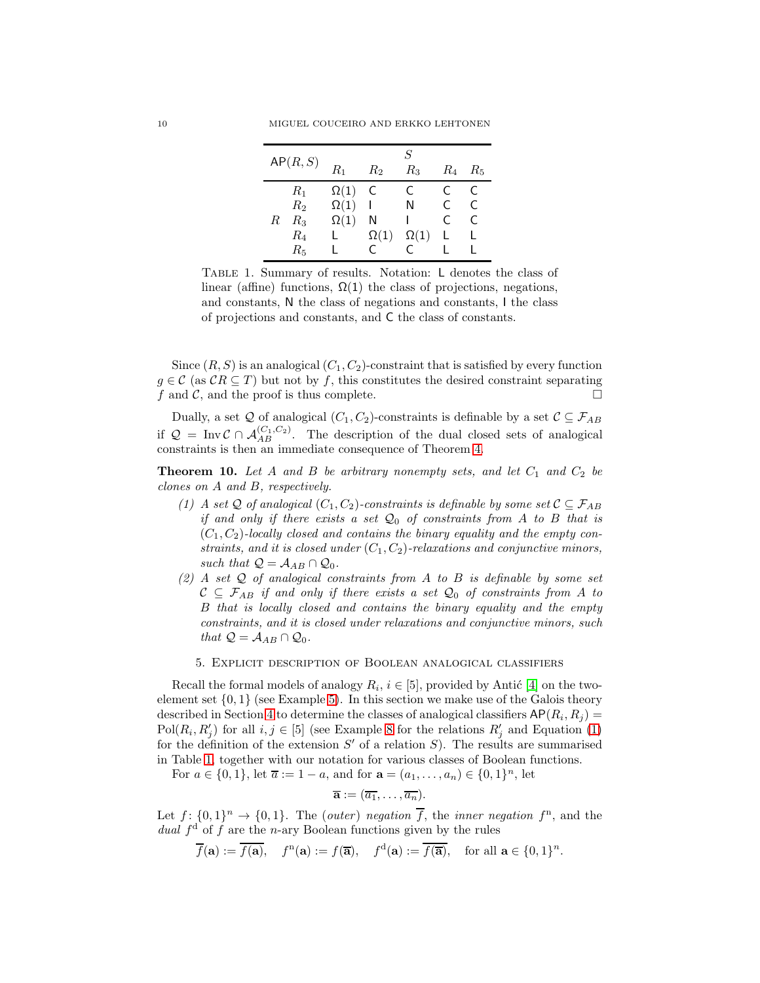|   | AP(R, S) | $R_1$       | $R_2$          | S<br>$R_{3}$ | $R_4$ | $R_5$ |
|---|----------|-------------|----------------|--------------|-------|-------|
|   | $R_1$    | $\Omega(1)$ | <sup>-</sup> C | C            | C     | C     |
|   | $R_2$    | $\Omega(1)$ | ı              | N            | C     | C     |
| R | $R_3$    | $\Omega(1)$ | Ν              |              | C     | C     |
|   | $R_{4}$  |             | $\Omega(1)$    | $\Omega(1)$  |       |       |
|   | $R_5$    |             |                | C            |       |       |

<span id="page-9-0"></span>Table 1. Summary of results. Notation: L denotes the class of linear (affine) functions,  $\Omega(1)$  the class of projections, negations, and constants, N the class of negations and constants, I the class of projections and constants, and C the class of constants.

Since  $(R, S)$  is an analogical  $(C_1, C_2)$ -constraint that is satisfied by every function  $g \in \mathcal{C}$  (as  $\mathcal{C}R \subseteq T$ ) but not by f, this constitutes the desired constraint separating f and  $\mathcal{C}$ , and the proof is thus complete.

Dually, a set  $Q$  of analogical  $(C_1, C_2)$ -constraints is definable by a set  $C \subseteq \mathcal{F}_{AB}$ if  $Q = \text{Inv } C \cap A_{AB}^{(C_1, C_2)}$ . The description of the dual closed sets of analogical constraints is then an immediate consequence of Theorem [4.](#page-4-1)

**Theorem 10.** Let A and B be arbitrary nonempty sets, and let  $C_1$  and  $C_2$  be clones on A and B, respectively.

- (1) A set Q of analogical  $(C_1, C_2)$ -constraints is definable by some set  $C \subseteq \mathcal{F}_{AB}$ if and only if there exists a set  $\mathcal{Q}_0$  of constraints from A to B that is  $(C_1, C_2)$ -locally closed and contains the binary equality and the empty constraints, and it is closed under  $(C_1, C_2)$ -relaxations and conjunctive minors, such that  $\mathcal{Q} = \mathcal{A}_{AB} \cap \mathcal{Q}_0$ .
- (2) A set  $Q$  of analogical constraints from A to B is definable by some set  $C \subseteq \mathcal{F}_{AB}$  if and only if there exists a set  $\mathcal{Q}_0$  of constraints from A to B that is locally closed and contains the binary equality and the empty constraints, and it is closed under relaxations and conjunctive minors, such that  $\mathcal{Q} = \mathcal{A}_{AB} \cap \mathcal{Q}_0$ .
	- 5. Explicit description of Boolean analogical classifiers

Recall the formal models of analogy  $R_i$ ,  $i \in [5]$ , provided by Antić [\[4\]](#page-15-21) on the twoelement set  $\{0,1\}$  (see Example [5\)](#page-6-0). In this section we make use of the Galois theory described in Section [4](#page-6-1) to determine the classes of analogical classifiers  $AP(R_i, R_j) =$ Pol $(R_i, R'_j)$  for all  $i, j \in [5]$  (see Example [8](#page-7-2) for the relations  $R'_j$  and Equation [\(1\)](#page-7-3) for the definition of the extension  $S'$  of a relation  $S$ ). The results are summarised in Table [1,](#page-9-0) together with our notation for various classes of Boolean functions.

For  $a \in \{0, 1\}$ , let  $\overline{a} := 1 - a$ , and for  $\mathbf{a} = (a_1, \dots, a_n) \in \{0, 1\}^n$ , let

$$
\overline{\mathbf{a}} := (\overline{a_1}, \ldots, \overline{a_n}).
$$

Let  $f: \{0,1\}^n \to \{0,1\}$ . The (outer) negation  $\overline{f}$ , the inner negation  $f^n$ , and the dual  $f<sup>d</sup>$  of f are the n-ary Boolean functions given by the rules

$$
\overline{f}(\mathbf{a}) := \overline{f(\mathbf{a})}, \quad f^{n}(\mathbf{a}) := f(\overline{\mathbf{a}}), \quad f^{d}(\mathbf{a}) := \overline{f(\overline{\mathbf{a}})}, \quad \text{for all } \mathbf{a} \in \{0, 1\}^{n}.
$$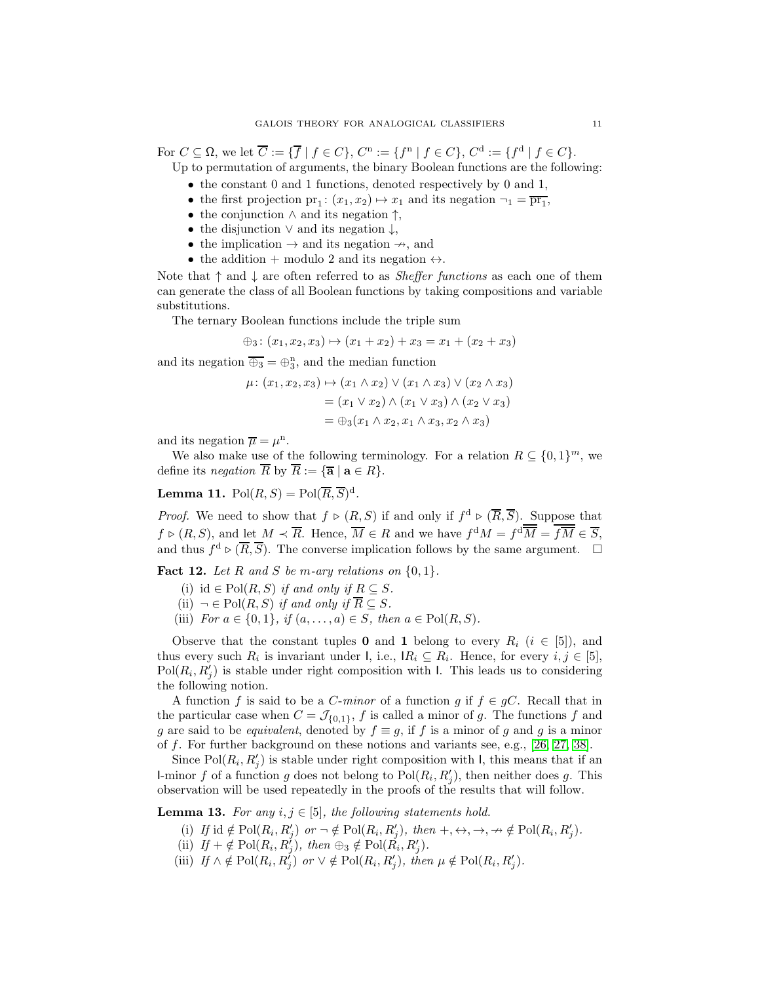For  $C \subseteq \Omega$ , we let  $\overline{C} := {\{\overline{f} \mid f \in C\}}$ ,  $C^n := {\{f^n \mid f \in C\}}$ ,  $C^d := {\{f^d \mid f \in C\}}$ . Up to permutation of arguments, the binary Boolean functions are the following:

- the constant 0 and 1 functions, denoted respectively by 0 and 1,
- the first projection  $pr_1$ :  $(x_1, x_2) \mapsto x_1$  and its negation  $\neg_1 = \overline{pr_1}$ ,
- the conjunction  $\wedge$  and its negation  $\uparrow$ ,
- the disjunction  $\vee$  and its negation  $\downarrow$ ,
- the implication  $\rightarrow$  and its negation  $\rightarrow$ , and
- the addition + modulo 2 and its negation  $\leftrightarrow$ .

Note that  $\uparrow$  and  $\downarrow$  are often referred to as *Sheffer functions* as each one of them can generate the class of all Boolean functions by taking compositions and variable substitutions.

The ternary Boolean functions include the triple sum

$$
\oplus_3 \colon (x_1, x_2, x_3) \mapsto (x_1 + x_2) + x_3 = x_1 + (x_2 + x_3)
$$

and its negation  $\overline{\bigoplus_3} = \bigoplus_3^n$ , and the median function

$$
\mu \colon (x_1, x_2, x_3) \mapsto (x_1 \wedge x_2) \vee (x_1 \wedge x_3) \vee (x_2 \wedge x_3)
$$
  
= 
$$
(x_1 \vee x_2) \wedge (x_1 \vee x_3) \wedge (x_2 \vee x_3)
$$
  
= 
$$
\oplus_3 (x_1 \wedge x_2, x_1 \wedge x_3, x_2 \wedge x_3)
$$

and its negation  $\overline{\mu} = \mu^n$ .

We also make use of the following terminology. For a relation  $R \subseteq \{0,1\}^m$ , we define its *negation*  $\overline{R}$  by  $\overline{R} := {\overline{\mathbf{a}} \mid \mathbf{a} \in R}.$ 

<span id="page-10-5"></span>**Lemma 11.**  $Pol(R, S) = Pol(\overline{R}, \overline{S})^d$ .

*Proof.* We need to show that  $f \triangleright (R, S)$  if and only if  $f^d \triangleright (\overline{R}, \overline{S})$ . Suppose that  $f \triangleright (R, S)$ , and let  $M \prec \overline{R}$ . Hence,  $\overline{M} \in R$  and we have  $f^d M = f^d \overline{M} = f \overline{M} \in \overline{S}$ , and thus  $f^d \triangleright (\overline{R}, \overline{S})$ . The converse implication follows by the same argument.  $\Box$ 

<span id="page-10-3"></span>**Fact 12.** Let R and S be m-ary relations on  $\{0, 1\}$ .

- (i) id  $\in$  Pol $(R, S)$  if and only if  $R \subseteq S$ .
- (ii)  $\neg \in Pol(R, S)$  if and only if  $\overline{R} \subseteq S$ .
- (iii) For  $a \in \{0, 1\}$ , if  $(a, ..., a) \in S$ , then  $a \in Pol(R, S)$ .

Observe that the constant tuples 0 and 1 belong to every  $R_i$  ( $i \in [5]$ ), and thus every such  $R_i$  is invariant under I, i.e.,  $IR_i \subseteq R_i$ . Hence, for every  $i, j \in [5]$ ,  $Pol(R_i, R'_j)$  is stable under right composition with I. This leads us to considering the following notion.

A function f is said to be a C-minor of a function g if  $f \in gC$ . Recall that in the particular case when  $C = \mathcal{J}_{\{0,1\}}$ , f is called a minor of g. The functions f and g are said to be *equivalent*, denoted by  $f \equiv g$ , if f is a minor of g and g is a minor of f. For further background on these notions and variants see, e.g., [\[26,](#page-16-18) [27,](#page-16-19) [38\]](#page-16-11).

Since  $Pol(R_i, R'_j)$  is stable under right composition with I, this means that if an I-minor f of a function g does not belong to  $Pol(R_i, R'_j)$ , then neither does g. This observation will be used repeatedly in the proofs of the results that will follow.

<span id="page-10-4"></span><span id="page-10-1"></span><span id="page-10-0"></span>**Lemma 13.** For any  $i, j \in [5]$ , the following statements hold.

- (i) If id  $\notin \text{Pol}(R_i, R'_j)$  or  $\neg \notin \text{Pol}(R_i, R'_j)$ , then  $+, \leftrightarrow, \rightarrow, \nrightarrow \notin \text{Pol}(R_i, R'_j)$ .
- (ii)  $If + \notin Pol(R_i, R_j^j), then \oplus_3 \notin Pol(R_i, R_j^j).$
- <span id="page-10-2"></span>(iii) If  $\wedge \notin \text{Pol}(R_i, R'_j)$  or  $\vee \notin \text{Pol}(R_i, R'_j)$ , then  $\mu \notin \text{Pol}(R_i, R'_j)$ .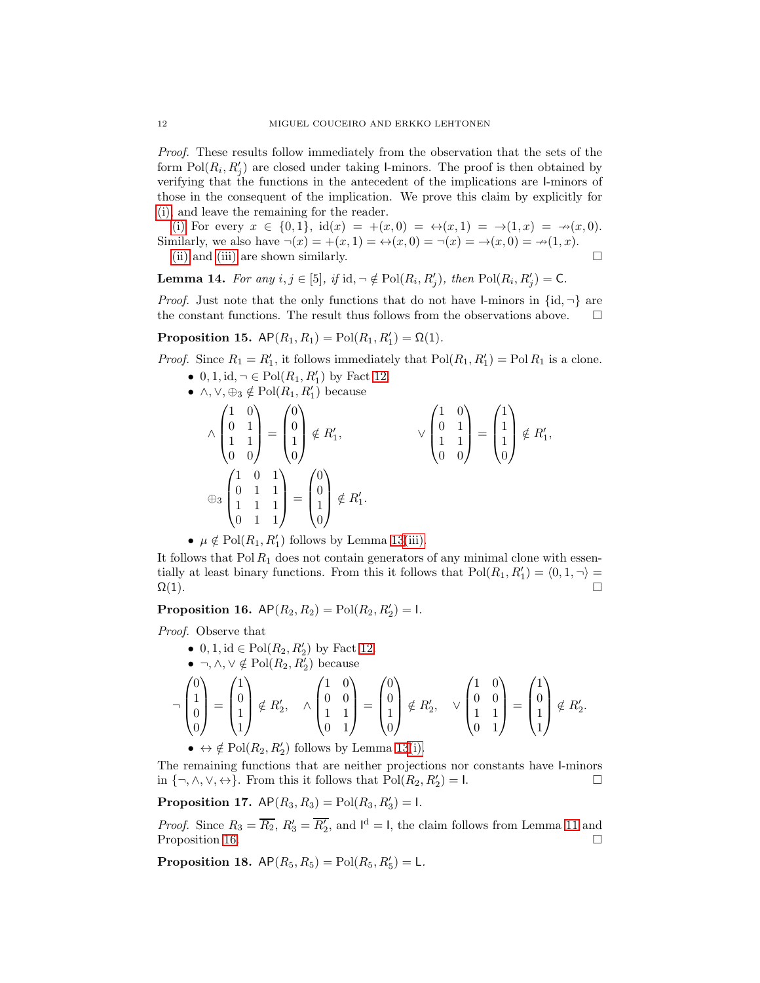Proof. These results follow immediately from the observation that the sets of the form  $Pol(R_i, R'_j)$  are closed under taking l-minors. The proof is then obtained by verifying that the functions in the antecedent of the implications are I-minors of those in the consequent of the implication. We prove this claim by explicitly for [\(i\),](#page-10-0) and leave the remaining for the reader.

[\(i\)](#page-10-0) For every  $x \in \{0,1\}$ ,  $\mathrm{id}(x) = +(x,0) = \leftrightarrow(x,1) = \to(1,x) = \to(x,0)$ . Similarly, we also have  $\neg(x) = +(x, 1) = \leftrightarrow(x, 0) = \neg(x) = \rightarrow(x, 0) = \nrightarrow(1, x)$ . [\(ii\)](#page-10-1) and [\(iii\)](#page-10-2) are shown similarly.  $\Box$ 

<span id="page-11-2"></span>**Lemma 14.** For any  $i, j \in [5]$ , if  $id, \neg \notin Pol(R_i, R'_j)$ , then  $Pol(R_i, R'_j) = C$ .

*Proof.* Just note that the only functions that do not have I-minors in  $\{id, \neg\}$  are the constant functions. The result thus follows from the observations above.  $\Box$ 

**Proposition 15.**  $AP(R_1, R_1) = Po(1, R'_1) = \Omega(1)$ .

*Proof.* Since  $R_1 = R'_1$ , it follows immediately that  $Pol(R_1, R'_1) = Pol(R_1 \text{ is a clone.})$ 

- $0, 1, id, \neg \in Pol(R_1, R'_1)$  by Fact [12.](#page-10-3) •  $\wedge, \vee, \oplus_3 \notin Pol(R_1, R'_1)$  because ∧  $\sqrt{ }$  $\overline{\phantom{a}}$ 1 0 0 1 1 1 0 0  $\setminus$  $\Bigg) =$  $\sqrt{ }$  $\overline{\phantom{a}}$ 0  $\theta$ 1 0  $\setminus$  $\left| \begin{array}{c} \notin R'_1, & \quad \vee \end{array} \right|$  $\sqrt{ }$  $\overline{\phantom{a}}$ 1 0 0 1 1 1 0 0  $\setminus$  $\Bigg) =$  $\sqrt{ }$  $\overline{\phantom{a}}$ 1 1 1 0  $\setminus$  $\left| \begin{array}{c} \notin R'_1, \end{array} \right.$ ⊕<sup>3</sup>  $\sqrt{ }$  $\overline{\phantom{a}}$ 1 0 1 0 1 1 1 1 1 0 1 1  $\setminus$  $\Bigg) =$  $\sqrt{ }$  $\overline{\phantom{a}}$  $\theta$  $\theta$ 1  $\theta$  $\setminus$  $\Bigg| \notin R_1'.$
- $\mu \notin \text{Pol}(R_1, R'_1)$  follows by Lemma [13](#page-10-4)[\(iii\).](#page-10-2)

It follows that  $Pol R_1$  does not contain generators of any minimal clone with essentially at least binary functions. From this it follows that  $Pol(R_1, R'_1) = \langle 0, 1, \neg \rangle =$  $\Omega(1)$ .

<span id="page-11-0"></span>**Proposition 16.**  $AP(R_2, R_2) = PoR(R_2, R'_2) = 1$ .

Proof. Observe that

- 0, 1, id  $\in$  Pol $(R_2, R'_2)$  by Fact [12.](#page-10-3)
- ¬,  $\wedge$ ,  $\vee \notin \text{Pol}(R_2, R'_2)$  because

$$
\begin{bmatrix} 0 \\ 1 \\ 0 \\ 0 \end{bmatrix} = \begin{pmatrix} 1 \\ 0 \\ 1 \\ 1 \end{pmatrix} \notin R'_2, \quad \wedge \begin{pmatrix} 1 & 0 \\ 0 & 0 \\ 1 & 1 \\ 0 & 1 \end{pmatrix} = \begin{pmatrix} 0 \\ 0 \\ 1 \\ 0 \end{pmatrix} \notin R'_2, \quad \vee \begin{pmatrix} 1 & 0 \\ 0 & 0 \\ 1 & 1 \\ 0 & 1 \end{pmatrix} = \begin{pmatrix} 1 \\ 0 \\ 1 \\ 1 \end{pmatrix} \notin R'_2.
$$

•  $\Leftrightarrow \notin \text{Pol}(R_2, R'_2)$  follows by Lemma [13](#page-10-4)[\(i\).](#page-10-0)

The remaining functions that are neither projections nor constants have I-minors in  $\{\neg, \wedge, \vee, \leftrightarrow\}$ . From this it follows that  $Pol(R_2, R'_2) = I$ .

**Proposition 17.**  $AP(R_3, R_3) = Pol(R_3, R'_3) = I$ .

*Proof.* Since  $R_3 = \overline{R_2}$ ,  $R'_3 = \overline{R'_2}$ , and  $I^d = I$ , the claim follows from Lemma [11](#page-10-5) and Proposition [16.](#page-11-0)  $\Box$ 

<span id="page-11-1"></span>**Proposition 18.**  $AP(R_5, R_5) = Pol(R_5, R'_5) = L$ .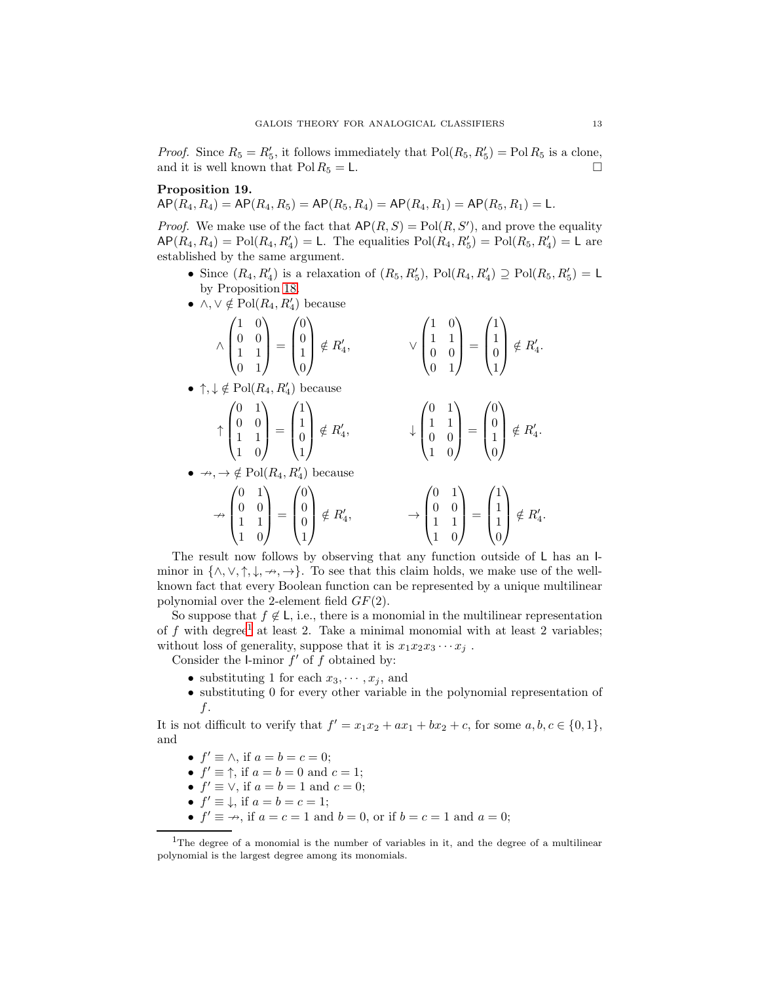*Proof.* Since  $R_5 = R'_5$ , it follows immediately that  $Pol(R_5, R'_5) = Pol R_5$  is a clone, and it is well known that  $Pol R_5 = L$ .

## Proposition 19.

 $AP(R_4, R_4) = AP(R_4, R_5) = AP(R_5, R_4) = AP(R_4, R_1) = AP(R_5, R_1) = L.$ 

*Proof.* We make use of the fact that  $\mathsf{AP}(R, S) = \mathrm{Pol}(R, S')$ , and prove the equality  $\mathsf{AP}(R_4, R_4) = \mathrm{Pol}(R_4, R'_4) = \mathsf{L}$ . The equalities  $\mathrm{Pol}(R_4, R'_5) = \mathrm{Pol}(R_5, R'_4) = \mathsf{L}$  are established by the same argument.

- Since  $(R_4, R'_4)$  is a relaxation of  $(R_5, R'_5)$ ,  $Pol(R_4, R'_4) \supseteq Pol(R_5, R'_5) = L$ by Proposition [18.](#page-11-1)
- $\wedge, \vee \notin \text{Pol}(R_4, R'_4)$  because

$$
\wedge \begin{pmatrix} 1 & 0 \\ 0 & 0 \\ 1 & 1 \\ 0 & 1 \end{pmatrix} = \begin{pmatrix} 0 \\ 0 \\ 1 \\ 0 \end{pmatrix} \notin R'_4, \qquad \qquad \vee \begin{pmatrix} 1 & 0 \\ 1 & 1 \\ 0 & 0 \\ 0 & 1 \end{pmatrix} = \begin{pmatrix} 1 \\ 1 \\ 0 \\ 1 \end{pmatrix} \notin R'_4.
$$

• 
$$
\uparrow, \downarrow \notin Pol(R_4, R'_4)
$$
 because

$$
\uparrow \begin{pmatrix} 0 & 1 \\ 0 & 0 \\ 1 & 1 \\ 1 & 0 \end{pmatrix} = \begin{pmatrix} 1 \\ 1 \\ 0 \\ 1 \end{pmatrix} \notin R'_4, \qquad \qquad \downarrow \begin{pmatrix} 0 & 1 \\ 1 & 1 \\ 0 & 0 \\ 1 & 0 \end{pmatrix} = \begin{pmatrix} 0 \\ 0 \\ 1 \\ 0 \end{pmatrix} \notin R'_4.
$$

•  $\rightarrow, \rightarrow \notin Pol(R_4, R'_4)$  because

$$
\downarrow \begin{pmatrix} 1 & 1 \\ 0 & 0 \\ 1 & 0 \end{pmatrix} = \begin{pmatrix} 0 \\ 1 \\ 0 \end{pmatrix} \notin I
$$

$$
\nrightarrow \begin{pmatrix} 0 & 1 \\ 0 & 0 \\ 1 & 1 \\ 1 & 0 \end{pmatrix} = \begin{pmatrix} 0 \\ 0 \\ 0 \\ 1 \end{pmatrix} \notin R'_4, \qquad \qquad \rightarrow \begin{pmatrix} 0 & 1 \\ 0 & 0 \\ 1 & 1 \\ 1 & 0 \end{pmatrix} = \begin{pmatrix} 1 \\ 1 \\ 1 \\ 0 \end{pmatrix} \notin R'_4.
$$

The result now follows by observing that any function outside of L has an Iminor in  $\{\wedge, \vee, \uparrow, \downarrow, \rightarrow, \rightarrow\}$ . To see that this claim holds, we make use of the wellknown fact that every Boolean function can be represented by a unique multilinear polynomial over the 2-element field  $GF(2)$ .

So suppose that  $f \notin L$ , i.e., there is a monomial in the multilinear representation of f with degree<sup>[1](#page-12-0)</sup> at least 2. Take a minimal monomial with at least 2 variables; without loss of generality, suppose that it is  $x_1x_2x_3\cdots x_j$ .

Consider the l-minor  $f'$  of  $f$  obtained by:

- substituting 1 for each  $x_3, \dots, x_i$ , and
- substituting 0 for every other variable in the polynomial representation of f.

It is not difficult to verify that  $f' = x_1x_2 + ax_1 + bx_2 + c$ , for some  $a, b, c \in \{0, 1\}$ , and

- $f' \equiv \wedge$ , if  $a = b = c = 0$ ;
- $f' \equiv \uparrow$ , if  $a = b = 0$  and  $c = 1$ ;
- $f' \equiv \vee$ , if  $a = b = 1$  and  $c = 0$ ;
- $f' \equiv \downarrow$ , if  $a = b = c = 1$ ;
- $f' \equiv \rightarrow$ , if  $a = c = 1$  and  $b = 0$ , or if  $b = c = 1$  and  $a = 0$ ;

<span id="page-12-0"></span><sup>&</sup>lt;sup>1</sup>The degree of a monomial is the number of variables in it, and the degree of a multilinear polynomial is the largest degree among its monomials.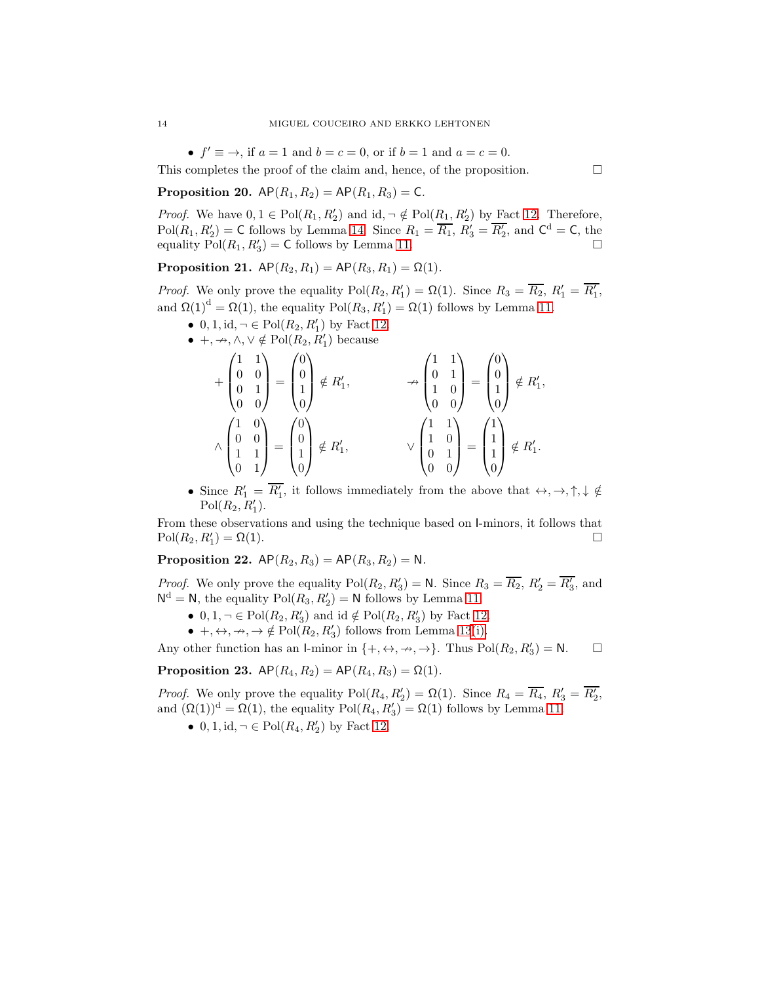•  $f' \equiv \rightarrow$ , if  $a = 1$  and  $b = c = 0$ , or if  $b = 1$  and  $a = c = 0$ .

This completes the proof of the claim and, hence, of the proposition.  $\Box$ 

**Proposition 20.**  $AP(R_1, R_2) = AP(R_1, R_3) = C$ .

*Proof.* We have  $0, 1 \in Pol(R_1, R'_2)$  and  $id, \neg \notin Pol(R_1, R'_2)$  by Fact [12.](#page-10-3) Therefore,  $Pol(R_1, R'_2) = \text{C}$  follows by Lemma [14.](#page-11-2) Since  $R_1 = \overline{R_1}$ ,  $R'_3 = \overline{R'_2}$ , and  $\text{C}^d = \text{C}$ , the equality  $\text{Pol}(R_1, R'_3) = \text{C}$  follows by Lemma [11.](#page-10-5)

Proposition 21.  $AP(R_2, R_1) = AP(R_3, R_1) = \Omega(1)$ .

*Proof.* We only prove the equality  $Pol(R_2, R'_1) = \Omega(1)$ . Since  $R_3 = \overline{R_2}$ ,  $R'_1 = \overline{R'_1}$ , and  $\Omega(1)^d = \Omega(1)$ , the equality  $Pol(R_3, R'_1) = \Omega(1)$  follows by Lemma [11.](#page-10-5)

- 0, 1, id,  $\neg \in Pol(R_2, R'_1)$  by Fact [12.](#page-10-3)
- $+, \rightarrow, \wedge, \vee \notin Pol(R_2, R'_1)$  because

$$
\begin{pmatrix}\n1 & 1 \\
0 & 0 \\
0 & 1 \\
0 & 0\n\end{pmatrix} = \begin{pmatrix}\n0 \\
0 \\
1 \\
0 \\
0\n\end{pmatrix} \notin R'_1, \qquad \longrightarrow \begin{pmatrix}\n1 & 1 \\
0 & 1 \\
1 & 0 \\
0 & 0\n\end{pmatrix} = \begin{pmatrix}\n0 \\
0 \\
1 \\
0\n\end{pmatrix} \notin R'_1,
$$
\n
$$
\wedge \begin{pmatrix}\n1 & 0 \\
0 & 0 \\
1 & 1 \\
0 & 1\n\end{pmatrix} = \begin{pmatrix}\n0 \\
0 \\
1 \\
0\n\end{pmatrix} \notin R'_1,
$$
\n
$$
\vee \begin{pmatrix}\n1 & 1 \\
1 & 0 \\
0 & 1 \\
0 & 0\n\end{pmatrix} = \begin{pmatrix}\n1 \\
1 \\
1 \\
0\n\end{pmatrix} \notin R'_1.
$$

• Since  $R'_1 = \overline{R'_1}$ , it follows immediately from the above that  $\leftrightarrow, \rightarrow, \uparrow, \downarrow \notin$  $Pol(R_2, R'_1).$ 

From these observations and using the technique based on I-minors, it follows that  $Pol(R_2, R'_1) = \Omega(1).$ 

**Proposition 22.**  $AP(R_2, R_3) = AP(R_3, R_2) = N$ .

*Proof.* We only prove the equality  $Pol(R_2, R'_3) = N$ . Since  $R_3 = \overline{R_2}$ ,  $R'_2 = \overline{R'_3}$ , and  $N^d = N$ , the equality  $Pol(R_3, R'_2) = N$  follows by Lemma [11.](#page-10-5)

- $0, 1, \neg \in Pol(R_2, R'_3)$  and  $id \notin Pol(R_2, R'_3)$  by Fact [12.](#page-10-3)
- $+, \leftrightarrow, \rightarrow, \Rightarrow \notin Pol(R_2, R'_3)$  follows from Lemma [13](#page-10-4)[\(i\).](#page-10-0)

Any other function has an I-minor in  $\{+, \leftrightarrow, \rightarrow, \rightarrow\}$ . Thus  $Pol(R_2, R'_3) = \mathbb{N}$ .  $\Box$ 

Proposition 23.  $AP(R_4, R_2) = AP(R_4, R_3) = \Omega(1)$ .

*Proof.* We only prove the equality  $Pol(R_4, R'_2) = \Omega(1)$ . Since  $R_4 = \overline{R_4}$ ,  $R'_3 = \overline{R'_2}$ , and  $(\Omega(1))^d = \Omega(1)$ , the equality  $Pol(R_4, R'_3) = \Omega(1)$  follows by Lemma [11.](#page-10-5)

• 0, 1, id,  $\neg \in Pol(R_4, R'_2)$  by Fact [12.](#page-10-3)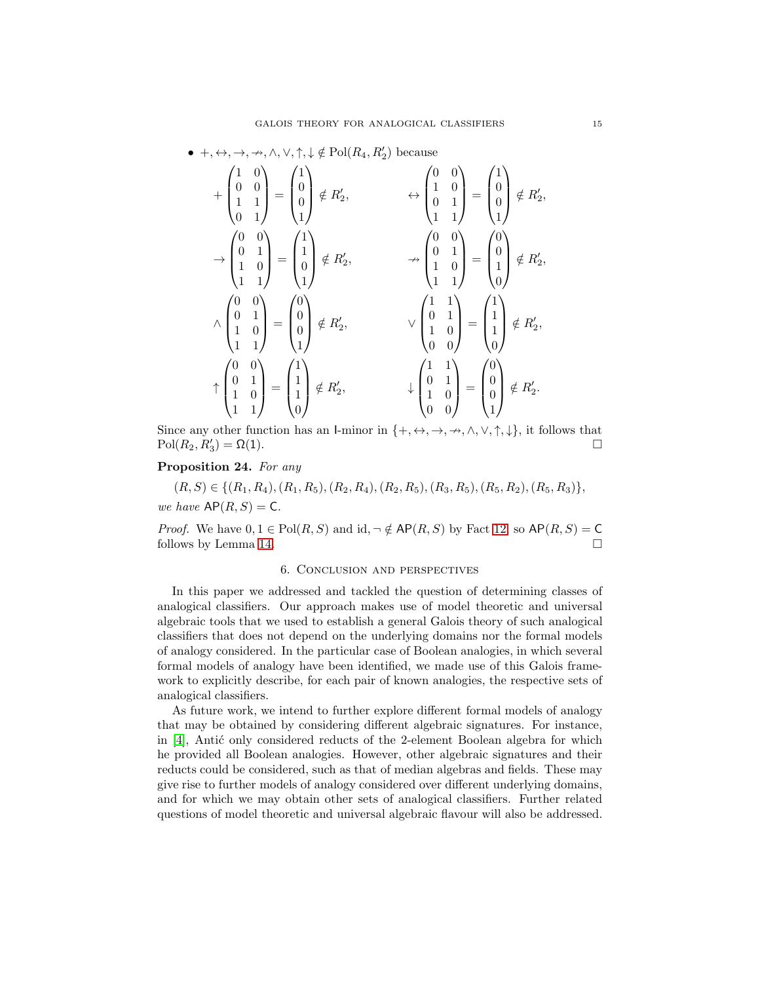# •  $+, \leftrightarrow, \rightarrow, \nrightarrow, \wedge, \vee, \uparrow, \downarrow \notin Pol(R_4, R'_2)$  because

$$
+\begin{pmatrix} 1 & 0 \\ 0 & 0 \\ 1 & 1 \\ 0 & 1 \end{pmatrix} = \begin{pmatrix} 1 \\ 0 \\ 0 \\ 1 \end{pmatrix} \notin R'_2, \qquad \leftrightarrow \begin{pmatrix} 0 & 0 \\ 1 & 0 \\ 0 & 1 \\ 1 & 1 \end{pmatrix} = \begin{pmatrix} 1 \\ 0 \\ 1 \\ 1 \end{pmatrix} \notin R'_2,
$$
  
\n
$$
\rightarrow \begin{pmatrix} 0 & 0 \\ 0 & 1 \\ 1 & 0 \\ 1 & 1 \end{pmatrix} = \begin{pmatrix} 1 \\ 1 \\ 0 \\ 1 \end{pmatrix} \notin R'_2, \qquad \rightarrow \begin{pmatrix} 0 & 0 \\ 0 & 1 \\ 1 & 0 \\ 1 & 1 \end{pmatrix} = \begin{pmatrix} 0 \\ 0 \\ 1 \\ 0 \end{pmatrix} \notin R'_2,
$$
  
\n
$$
\land \begin{pmatrix} 0 & 0 \\ 0 & 1 \\ 1 & 0 \\ 1 & 1 \end{pmatrix} = \begin{pmatrix} 0 \\ 0 \\ 0 \\ 1 \end{pmatrix} \notin R'_2, \qquad \lor \begin{pmatrix} 1 & 1 \\ 0 & 1 \\ 1 & 0 \\ 0 & 0 \end{pmatrix} = \begin{pmatrix} 1 \\ 1 \\ 1 \\ 0 \end{pmatrix} \notin R'_2,
$$
  
\n
$$
\uparrow \begin{pmatrix} 0 & 0 \\ 0 & 1 \\ 1 & 0 \\ 1 & 1 \end{pmatrix} = \begin{pmatrix} 1 \\ 1 \\ 1 \\ 0 \end{pmatrix} \notin R'_2, \qquad \downarrow \begin{pmatrix} 1 & 1 \\ 0 & 1 \\ 1 & 0 \\ 0 & 0 \end{pmatrix} = \begin{pmatrix} 0 \\ 0 \\ 0 \\ 1 \end{pmatrix} \notin R'_2.
$$

Since any other function has an I-minor in  $\{+, \leftrightarrow, \rightarrow, \rightarrow, \land, \lor, \uparrow, \downarrow\}$ , it follows that  $Pol(R_2, R'_3) = \Omega(1).$ 

## Proposition 24. For any

$$
(R, S) \in \{(R_1, R_4), (R_1, R_5), (R_2, R_4), (R_2, R_5), (R_3, R_5), (R_5, R_2), (R_5, R_3)\},\
$$
  
we have  $AP(R, S) = C$ .

*Proof.* We have  $0, 1 \in Pol(R, S)$  and  $id, \neg \notin AP(R, S)$  by Fact [12,](#page-10-3) so  $AP(R, S) = C$ follows by Lemma [14.](#page-11-2)

#### 6. Conclusion and perspectives

In this paper we addressed and tackled the question of determining classes of analogical classifiers. Our approach makes use of model theoretic and universal algebraic tools that we used to establish a general Galois theory of such analogical classifiers that does not depend on the underlying domains nor the formal models of analogy considered. In the particular case of Boolean analogies, in which several formal models of analogy have been identified, we made use of this Galois framework to explicitly describe, for each pair of known analogies, the respective sets of analogical classifiers.

As future work, we intend to further explore different formal models of analogy that may be obtained by considering different algebraic signatures. For instance, in  $[4]$ , Antić only considered reducts of the 2-element Boolean algebra for which he provided all Boolean analogies. However, other algebraic signatures and their reducts could be considered, such as that of median algebras and fields. These may give rise to further models of analogy considered over different underlying domains, and for which we may obtain other sets of analogical classifiers. Further related questions of model theoretic and universal algebraic flavour will also be addressed.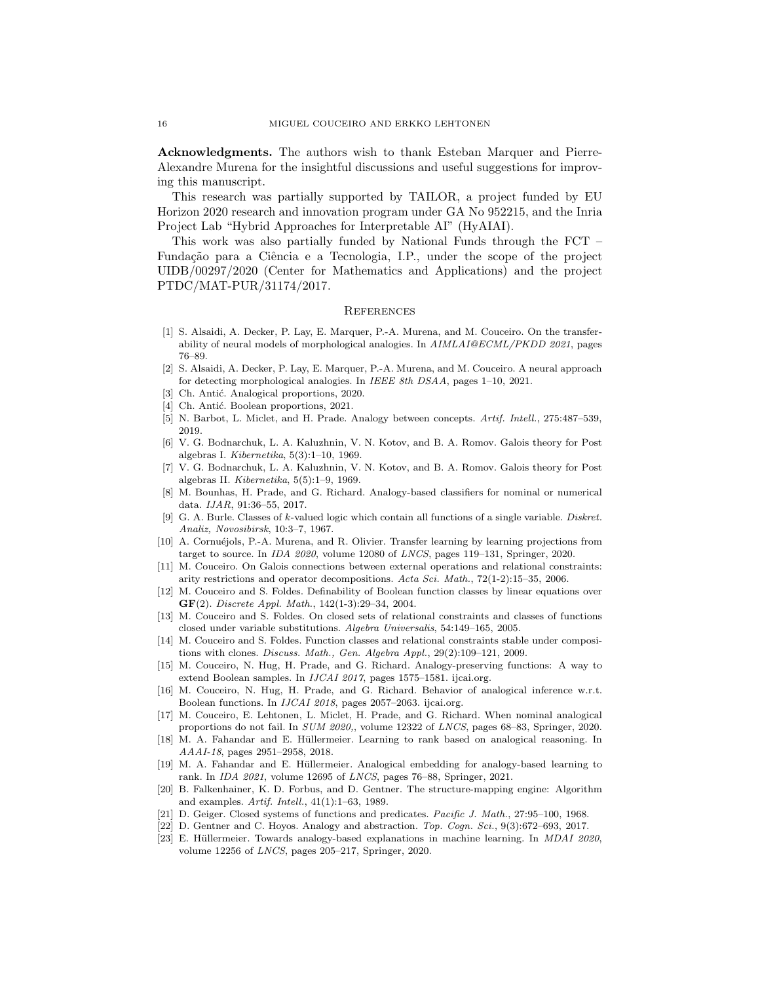Acknowledgments. The authors wish to thank Esteban Marquer and Pierre-Alexandre Murena for the insightful discussions and useful suggestions for improving this manuscript.

This research was partially supported by TAILOR, a project funded by EU Horizon 2020 research and innovation program under GA No 952215, and the Inria Project Lab "Hybrid Approaches for Interpretable AI" (HyAIAI).

This work was also partially funded by National Funds through the FCT – Fundação para a Ciência e a Tecnologia, I.P., under the scope of the project UIDB/00297/2020 (Center for Mathematics and Applications) and the project PTDC/MAT-PUR/31174/2017.

## **REFERENCES**

- <span id="page-15-5"></span>[1] S. Alsaidi, A. Decker, P. Lay, E. Marquer, P.-A. Murena, and M. Couceiro. On the transferability of neural models of morphological analogies. In AIMLAI@ECML/PKDD 2021, pages 76–89.
- <span id="page-15-0"></span>[2] S. Alsaidi, A. Decker, P. Lay, E. Marquer, P.-A. Murena, and M. Couceiro. A neural approach for detecting morphological analogies. In IEEE 8th DSAA, pages 1–10, 2021.
- <span id="page-15-21"></span><span id="page-15-17"></span>[3] Ch. Antić. Analogical proportions, 2020.
- <span id="page-15-18"></span>[4] Ch. Antić. Boolean proportions, 2021.
- <span id="page-15-10"></span>[5] N. Barbot, L. Miclet, and H. Prade. Analogy between concepts. Artif. Intell., 275:487–539, 2019.
- [6] V. G. Bodnarchuk, L. A. Kaluzhnin, V. N. Kotov, and B. A. Romov. Galois theory for Post algebras I. Kibernetika, 5(3):1–10, 1969.
- <span id="page-15-11"></span>[7] V. G. Bodnarchuk, L. A. Kaluzhnin, V. N. Kotov, and B. A. Romov. Galois theory for Post algebras II. Kibernetika, 5(5):1–9, 1969.
- <span id="page-15-7"></span>[8] M. Bounhas, H. Prade, and G. Richard. Analogy-based classifiers for nominal or numerical data. IJAR, 91:36–55, 2017.
- <span id="page-15-22"></span>[9] G. A. Burle. Classes of k-valued logic which contain all functions of a single variable. Diskret. Analiz, Novosibirsk, 10:3–7, 1967.
- <span id="page-15-4"></span>[10] A. Cornuéjols, P.-A. Murena, and R. Olivier. Transfer learning by learning projections from target to source. In IDA 2020, volume 12080 of LNCS, pages 119–131, Springer, 2020.
- <span id="page-15-14"></span>[11] M. Couceiro. On Galois connections between external operations and relational constraints: arity restrictions and operator decompositions. Acta Sci. Math., 72(1-2):15–35, 2006.
- <span id="page-15-15"></span>[12] M. Couceiro and S. Foldes. Definability of Boolean function classes by linear equations over  $GF(2)$ . Discrete Appl. Math., 142(1-3):29-34, 2004.
- <span id="page-15-13"></span>[13] M. Couceiro and S. Foldes. On closed sets of relational constraints and classes of functions closed under variable substitutions. Algebra Universalis, 54:149–165, 2005.
- <span id="page-15-16"></span>[14] M. Couceiro and S. Foldes. Function classes and relational constraints stable under compositions with clones. Discuss. Math., Gen. Algebra Appl., 29(2):109–121, 2009.
- <span id="page-15-3"></span>[15] M. Couceiro, N. Hug, H. Prade, and G. Richard. Analogy-preserving functions: A way to extend Boolean samples. In IJCAI 2017, pages 1575–1581. ijcai.org.
- <span id="page-15-8"></span>[16] M. Couceiro, N. Hug, H. Prade, and G. Richard. Behavior of analogical inference w.r.t. Boolean functions. In IJCAI 2018, pages 2057–2063. ijcai.org.
- <span id="page-15-9"></span>[17] M. Couceiro, E. Lehtonen, L. Miclet, H. Prade, and G. Richard. When nominal analogical proportions do not fail. In SUM 2020,, volume 12322 of LNCS, pages 68–83, Springer, 2020.
- <span id="page-15-1"></span>[18] M. A. Fahandar and E. Hüllermeier. Learning to rank based on analogical reasoning. In AAAI-18, pages 2951–2958, 2018.
- <span id="page-15-2"></span>[19] M. A. Fahandar and E. Hüllermeier. Analogical embedding for analogy-based learning to rank. In IDA 2021, volume 12695 of LNCS, pages 76–88, Springer, 2021.
- <span id="page-15-20"></span>[20] B. Falkenhainer, K. D. Forbus, and D. Gentner. The structure-mapping engine: Algorithm and examples. Artif. Intell., 41(1):1–63, 1989.
- <span id="page-15-19"></span><span id="page-15-12"></span>[21] D. Geiger. Closed systems of functions and predicates. Pacific J. Math., 27:95–100, 1968.
- <span id="page-15-6"></span>[22] D. Gentner and C. Hoyos. Analogy and abstraction. Top. Cogn. Sci., 9(3):672–693, 2017.
- [23] E. Hüllermeier. Towards analogy-based explanations in machine learning. In MDAI 2020, volume 12256 of LNCS, pages 205–217, Springer, 2020.